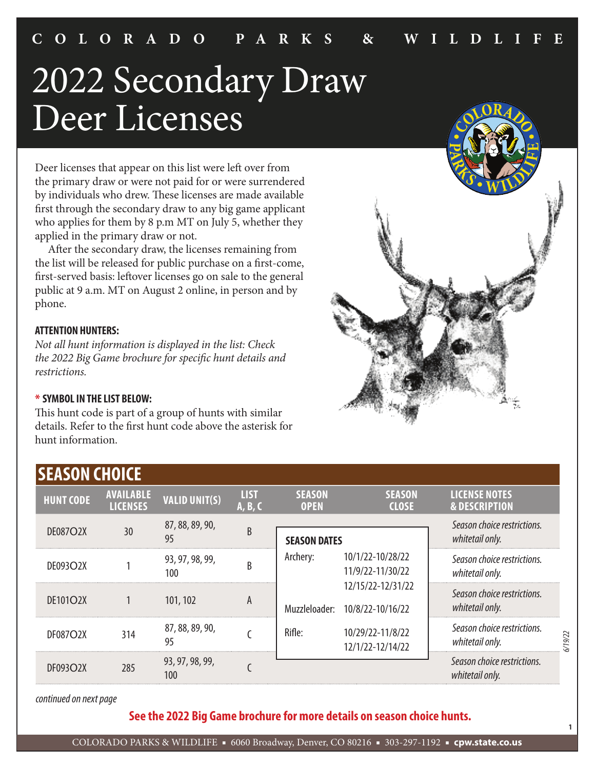# 2022 Secondary Draw Deer Licenses

Deer licenses that appear on this list were left over from the primary draw or were not paid for or were surrendered by individuals who drew. These licenses are made available first through the secondary draw to any big game applicant who applies for them by 8 p.m MT on July 5, whether they applied in the primary draw or not.

 After the secondary draw, the licenses remaining from the list will be released for public purchase on a first-come, first-served basis: leftover licenses go on sale to the general public at 9 a.m. MT on August 2 online, in person and by phone.

#### **ATTENTION HUNTERS:**

*Not all hunt information is displayed in the list: Check the 2022 Big Game brochure for specific hunt details and restrictions.*

#### **\* SYMBOL IN THE LIST BELOW:**

This hunt code is part of a group of hunts with similar details. Refer to the first hunt code above the asterisk for hunt information.



**1**

| <b>SEASON CHOICE</b> |                                     |                        |                        |                              |                                       |                                                  |        |
|----------------------|-------------------------------------|------------------------|------------------------|------------------------------|---------------------------------------|--------------------------------------------------|--------|
| <b>HUNT CODE</b>     | <b>AVAILABLE</b><br><b>LICENSES</b> | <b>VALID UNIT(S)</b>   | <b>LIST</b><br>A, B, C | <b>SEASON</b><br><b>OPEN</b> | <b>SEASON</b><br><b>CLOSE</b>         | <b>LICENSE NOTES</b><br><b>&amp; DESCRIPTION</b> |        |
| <b>DE087O2X</b>      | 30                                  | 87, 88, 89, 90,<br>95  | B                      | <b>SEASON DATES</b>          |                                       | Season choice restrictions.<br>whitetail only.   |        |
| DE093O2X             |                                     | 93, 97, 98, 99,<br>100 | B                      | Archery:                     | 10/1/22-10/28/22<br>11/9/22-11/30/22  | Season choice restrictions.<br>whitetail only.   |        |
| <b>DE101O2X</b>      |                                     | 101, 102               | A                      | Muzzleloader:                | 12/15/22-12/31/22<br>10/8/22-10/16/22 | Season choice restrictions.<br>whitetail only.   |        |
| <b>DF087O2X</b>      | 314                                 | 87, 88, 89, 90,<br>95  |                        | Rifle:                       | 10/29/22-11/8/22<br>12/1/22-12/14/22  | Season choice restrictions.<br>whitetail only.   | /19/22 |
| <b>DF093O2X</b>      | 285                                 | 93, 97, 98, 99,<br>100 |                        |                              |                                       | Season choice restrictions.<br>whitetail only.   |        |

*continued on next page*

**See the 2022 Big Game brochure for more details on season choice hunts.**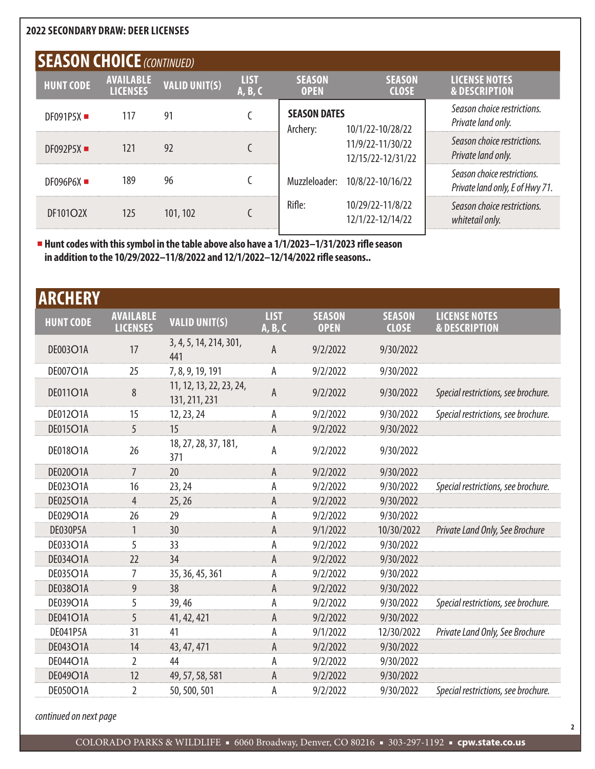|                  | <b>SEASON CHOICE</b> (CONTINUED)    |                      |                        |                                 |                                       |                                                                |  |  |  |  |  |
|------------------|-------------------------------------|----------------------|------------------------|---------------------------------|---------------------------------------|----------------------------------------------------------------|--|--|--|--|--|
| <b>HUNT CODE</b> | <b>AVAILABLE</b><br><b>LICENSES</b> | <b>VALID UNIT(S)</b> | <b>LIST</b><br>A, B, C | <b>SEASON</b><br><b>OPEN</b>    | <b>SEASON</b><br><b>CLOSE</b>         | <b>LICENSE NOTES</b><br><b>&amp; DESCRIPTION</b>               |  |  |  |  |  |
| DF091P5X         | 117                                 | 91                   |                        | <b>SEASON DATES</b><br>Archery: | 10/1/22-10/28/22                      | Season choice restrictions.<br>Private land only.              |  |  |  |  |  |
| DF092P5X         | 121                                 | 92                   |                        |                                 | 11/9/22-11/30/22<br>12/15/22-12/31/22 | Season choice restrictions.<br>Private land only.              |  |  |  |  |  |
| DF096P6X         | 189                                 | 96                   |                        |                                 | Muzzleloader: 10/8/22-10/16/22        | Season choice restrictions.<br>Private land only, E of Hwy 71. |  |  |  |  |  |
| DF101O2X         | 125                                 | 101, 102             |                        | Rifle:                          | 10/29/22-11/8/22<br>12/1/22-12/14/22  | Season choice restrictions.<br>whitetail only.                 |  |  |  |  |  |
|                  |                                     |                      |                        |                                 |                                       |                                                                |  |  |  |  |  |

■ **Hunt codes with this symbol in the table above also have a 1/1/2023–1/31/2023 rifle season in addition to the 10/29/2022–11/8/2022 and 12/1/2022–12/14/2022 rifle seasons..**

| <b>ARCHERY</b>   |                                     |                                          |                        |                              |                               |                                                  |
|------------------|-------------------------------------|------------------------------------------|------------------------|------------------------------|-------------------------------|--------------------------------------------------|
| <b>HUNT CODE</b> | <b>AVAILABLE</b><br><b>LICENSES</b> | <b>VALID UNIT(S)</b>                     | <b>LIST</b><br>A, B, C | <b>SEASON</b><br><b>OPEN</b> | <b>SEASON</b><br><b>CLOSE</b> | <b>LICENSE NOTES</b><br><b>&amp; DESCRIPTION</b> |
| <b>DE003O1A</b>  | 17                                  | 3, 4, 5, 14, 214, 301,<br>441            | A                      | 9/2/2022                     | 9/30/2022                     |                                                  |
| DE007O1A         | 25                                  | 7, 8, 9, 19, 191                         | А                      | 9/2/2022                     | 9/30/2022                     |                                                  |
| <b>DE011O1A</b>  | 8                                   | 11, 12, 13, 22, 23, 24,<br>131, 211, 231 | A                      | 9/2/2022                     | 9/30/2022                     | Special restrictions, see brochure.              |
| <b>DE012O1A</b>  | 15                                  | 12, 23, 24                               | А                      | 9/2/2022                     | 9/30/2022                     | Special restrictions, see brochure.              |
| <b>DE015O1A</b>  | 5                                   | 15                                       | А                      | 9/2/2022                     | 9/30/2022                     |                                                  |
| DE018O1A         | 26                                  | 18, 27, 28, 37, 181,<br>371              | А                      | 9/2/2022                     | 9/30/2022                     |                                                  |
| DE020O1A         | 7                                   | 20                                       | А                      | 9/2/2022                     | 9/30/2022                     |                                                  |
| DE023O1A         | 16                                  | 23, 24                                   | Α                      | 9/2/2022                     | 9/30/2022                     | Special restrictions, see brochure.              |
| <b>DE025O1A</b>  | 4                                   | 25, 26                                   | Α                      | 9/2/2022                     | 9/30/2022                     |                                                  |
| DE029O1A         | 26                                  | 29                                       | А                      | 9/2/2022                     | 9/30/2022                     |                                                  |
| DE030P5A         | $\mathbf{1}$                        | 30                                       | A                      | 9/1/2022                     | 10/30/2022                    | Private Land Only, See Brochure                  |
| DE033O1A         | 5                                   | 33                                       | Α                      | 9/2/2022                     | 9/30/2022                     |                                                  |
| DE034O1A         | 22                                  | 34                                       | А                      | 9/2/2022                     | 9/30/2022                     |                                                  |
| DE035O1A         | 7                                   | 35, 36, 45, 361                          | А                      | 9/2/2022                     | 9/30/2022                     |                                                  |
| <b>DE038O1A</b>  | 9                                   | 38                                       | А                      | 9/2/2022                     | 9/30/2022                     |                                                  |
| DE039O1A         | 5                                   | 39,46                                    | А                      | 9/2/2022                     | 9/30/2022                     | Special restrictions, see brochure.              |
| <b>DE041O1A</b>  | 5                                   | 41, 42, 421                              | A                      | 9/2/2022                     | 9/30/2022                     |                                                  |
| <b>DE041P5A</b>  | 31                                  | 41                                       | А                      | 9/1/2022                     | 12/30/2022                    | Private Land Only, See Brochure                  |
| <b>DE043O1A</b>  | 14                                  | 43, 47, 471                              | А                      | 9/2/2022                     | 9/30/2022                     |                                                  |
| <b>DE044O1A</b>  | $\overline{2}$                      | 44                                       | А                      | 9/2/2022                     | 9/30/2022                     |                                                  |
| DE049O1A         | 12                                  | 49, 57, 58, 581                          | А                      | 9/2/2022                     | 9/30/2022                     |                                                  |
| DE050O1A         | $\overline{2}$                      | 50, 500, 501                             | А                      | 9/2/2022                     | 9/30/2022                     | Special restrictions, see brochure.              |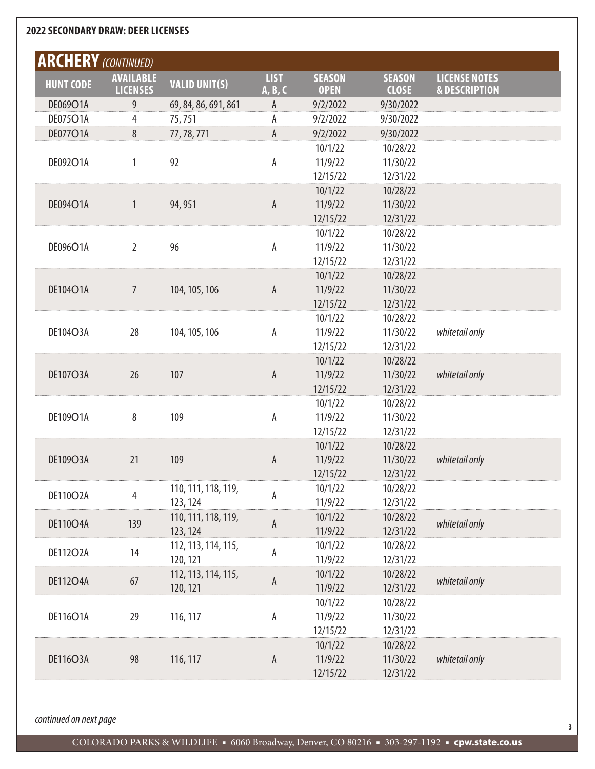|                  | <b>ARCHERY</b> (CONTINUED)          |                      |                        |                              |                               |                                                  |
|------------------|-------------------------------------|----------------------|------------------------|------------------------------|-------------------------------|--------------------------------------------------|
| <b>HUNT CODE</b> | <b>AVAILABLE</b><br><b>LICENSES</b> | <b>VALID UNIT(S)</b> | <b>LIST</b><br>A, B, C | <b>SEASON</b><br><b>OPEN</b> | <b>SEASON</b><br><b>CLOSE</b> | <b>LICENSE NOTES</b><br><b>&amp; DESCRIPTION</b> |
| DE069O1A         | 9                                   | 69, 84, 86, 691, 861 | А                      | 9/2/2022                     | 9/30/2022                     |                                                  |
| DE075O1A         | 4                                   | 75,751               | А                      | 9/2/2022                     | 9/30/2022                     |                                                  |
| DE077O1A         | 8                                   | 77, 78, 771          | А                      | 9/2/2022                     | 9/30/2022                     |                                                  |
|                  |                                     |                      |                        | 10/1/22                      | 10/28/22                      |                                                  |
| DE092O1A         | 1                                   | 92                   | Α                      | 11/9/22                      | 11/30/22                      |                                                  |
|                  |                                     |                      |                        | 12/15/22                     | 12/31/22                      |                                                  |
|                  |                                     |                      |                        | 10/1/22                      | 10/28/22                      |                                                  |
| DE094O1A         | 1                                   | 94, 951              | $\mathsf A$            | 11/9/22                      | 11/30/22                      |                                                  |
|                  |                                     |                      |                        | 12/15/22                     | 12/31/22                      |                                                  |
|                  |                                     |                      |                        | 10/1/22                      | 10/28/22                      |                                                  |
| DE096O1A         | 2                                   | 96                   | Α                      | 11/9/22                      | 11/30/22                      |                                                  |
|                  |                                     |                      |                        | 12/15/22                     | 12/31/22                      |                                                  |
|                  |                                     |                      |                        | 10/1/22                      | 10/28/22                      |                                                  |
| DE104O1A         | 7                                   | 104, 105, 106        | A                      | 11/9/22                      | 11/30/22                      |                                                  |
|                  |                                     |                      |                        | 12/15/22                     | 12/31/22                      |                                                  |
|                  |                                     |                      |                        | 10/1/22                      | 10/28/22                      |                                                  |
| DE104O3A         | 28                                  | 104, 105, 106        | Α                      | 11/9/22                      | 11/30/22                      | whitetail only                                   |
|                  |                                     |                      |                        | 12/15/22                     | 12/31/22                      |                                                  |
|                  |                                     |                      |                        | 10/1/22                      | 10/28/22                      |                                                  |
| <b>DE107O3A</b>  | 26                                  | 107                  | A                      | 11/9/22                      | 11/30/22                      | whitetail only                                   |
|                  |                                     |                      |                        | 12/15/22                     | 12/31/22                      |                                                  |
|                  |                                     |                      |                        | 10/1/22                      | 10/28/22                      |                                                  |
| DE109O1A         | 8                                   | 109                  | А                      | 11/9/22                      | 11/30/22                      |                                                  |
|                  |                                     |                      |                        | 12/15/22                     | 12/31/22                      |                                                  |
|                  |                                     |                      |                        | 10/1/22                      | 10/28/22                      |                                                  |
| DE109O3A         | 21                                  | 109                  | A                      | 11/9/22                      | 11/30/22                      | whitetail only                                   |
|                  |                                     |                      |                        | 12/15/22                     | 12/31/22                      |                                                  |
| DE110O2A         |                                     | 110, 111, 118, 119,  |                        | 10/1/22                      | 10/28/22                      |                                                  |
|                  | 4                                   | 123, 124             | А                      | 11/9/22                      | 12/31/22                      |                                                  |
|                  |                                     | 110, 111, 118, 119,  |                        | 10/1/22                      | 10/28/22                      |                                                  |
| <b>DE110O4A</b>  | 139                                 | 123, 124             | A                      | 11/9/22                      | 12/31/22                      | whitetail only                                   |
|                  |                                     | 112, 113, 114, 115,  |                        | 10/1/22                      | 10/28/22                      |                                                  |
| <b>DE112O2A</b>  | 14                                  | 120, 121             | A                      | 11/9/22                      | 12/31/22                      |                                                  |
|                  |                                     | 112, 113, 114, 115,  |                        | 10/1/22                      | 10/28/22                      |                                                  |
| <b>DE112O4A</b>  | 67                                  | 120, 121             | A                      | 11/9/22                      | 12/31/22                      | whitetail only                                   |
|                  |                                     |                      |                        | 10/1/22                      | 10/28/22                      |                                                  |
| DE116O1A         | 29                                  | 116, 117             | А                      | 11/9/22                      | 11/30/22                      |                                                  |
|                  |                                     |                      |                        | 12/15/22                     | 12/31/22                      |                                                  |
|                  |                                     |                      |                        | 10/1/22                      | 10/28/22                      |                                                  |
| <b>DE116O3A</b>  | 98                                  | 116, 117             | $\mathsf A$            | 11/9/22                      | 11/30/22                      | whitetail only                                   |
|                  |                                     |                      |                        | 12/15/22                     | 12/31/22                      |                                                  |
|                  |                                     |                      |                        |                              |                               |                                                  |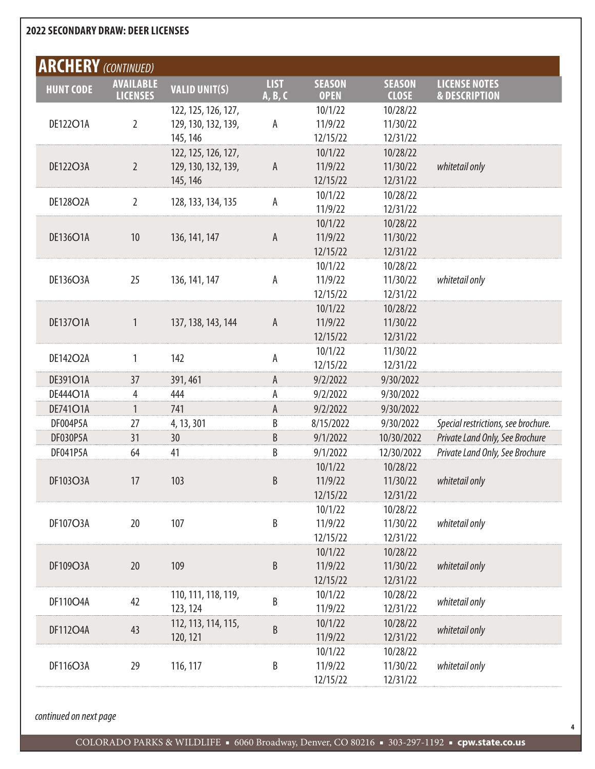| <b>ARCHERY</b> (CONTINUED) |                                     |                      |                        |                              |                               |                                                  |
|----------------------------|-------------------------------------|----------------------|------------------------|------------------------------|-------------------------------|--------------------------------------------------|
| <b>HUNT CODE</b>           | <b>AVAILABLE</b><br><b>LICENSES</b> | <b>VALID UNIT(S)</b> | <b>LIST</b><br>A, B, C | <b>SEASON</b><br><b>OPEN</b> | <b>SEASON</b><br><b>CLOSE</b> | <b>LICENSE NOTES</b><br><b>&amp; DESCRIPTION</b> |
|                            |                                     | 122, 125, 126, 127,  |                        | 10/1/22                      | 10/28/22                      |                                                  |
| DE122O1A                   | $\overline{2}$                      | 129, 130, 132, 139,  | А                      | 11/9/22                      | 11/30/22                      |                                                  |
|                            |                                     | 145, 146             |                        | 12/15/22                     | 12/31/22                      |                                                  |
|                            |                                     | 122, 125, 126, 127,  |                        | 10/1/22                      | 10/28/22                      |                                                  |
| <b>DE122O3A</b>            | $\overline{2}$                      | 129, 130, 132, 139,  | A                      | 11/9/22                      | 11/30/22                      | whitetail only                                   |
|                            |                                     | 145, 146             |                        | 12/15/22                     | 12/31/22                      |                                                  |
| DE128O2A                   | $\overline{2}$                      | 128, 133, 134, 135   | А                      | 10/1/22                      | 10/28/22                      |                                                  |
|                            |                                     |                      |                        | 11/9/22                      | 12/31/22                      |                                                  |
|                            |                                     |                      |                        | 10/1/22                      | 10/28/22                      |                                                  |
| DE136O1A                   | 10                                  | 136, 141, 147        | A                      | 11/9/22                      | 11/30/22                      |                                                  |
|                            |                                     |                      |                        | 12/15/22                     | 12/31/22                      |                                                  |
|                            |                                     |                      |                        | 10/1/22                      | 10/28/22                      |                                                  |
| DE136O3A                   | 25                                  | 136, 141, 147        | А                      | 11/9/22                      | 11/30/22                      | whitetail only                                   |
|                            |                                     |                      |                        | 12/15/22                     | 12/31/22                      |                                                  |
|                            |                                     |                      |                        | 10/1/22                      | 10/28/22                      |                                                  |
| <b>DE137O1A</b>            | 1                                   | 137, 138, 143, 144   | A                      | 11/9/22                      | 11/30/22                      |                                                  |
|                            |                                     |                      |                        | 12/15/22                     | 12/31/22                      |                                                  |
| DE142O2A                   | 1                                   | 142                  | А                      | 10/1/22                      | 11/30/22                      |                                                  |
|                            |                                     |                      |                        | 12/15/22                     | 12/31/22                      |                                                  |
| DE391O1A                   | 37                                  | 391, 461             | A                      | 9/2/2022                     | 9/30/2022                     |                                                  |
| DE444O1A                   | 4                                   | 444                  | А                      | 9/2/2022                     | 9/30/2022                     |                                                  |
| DE741O1A                   | 1                                   | 741                  | A                      | 9/2/2022                     | 9/30/2022                     |                                                  |
| DF004P5A                   | 27                                  | 4, 13, 301           | B                      | 8/15/2022                    | 9/30/2022                     | Special restrictions, see brochure.              |
| DF030P5A                   | 31                                  | 30                   | B                      | 9/1/2022                     | 10/30/2022                    | Private Land Only, See Brochure                  |
| DF041P5A                   | 64                                  | 41                   | B                      | 9/1/2022                     | 12/30/2022                    | Private Land Only, See Brochure                  |
|                            |                                     |                      |                        | 10/1/22                      | 10/28/22                      |                                                  |
| <b>DF103O3A</b>            | 17                                  | 103                  | B                      | 11/9/22                      | 11/30/22                      | whitetail only                                   |
|                            |                                     |                      |                        | 12/15/22                     | 12/31/22                      |                                                  |
|                            |                                     |                      |                        | 10/1/22                      | 10/28/22                      |                                                  |
| <b>DF107O3A</b>            | 20                                  | 107                  | B                      | 11/9/22                      | 11/30/22                      | whitetail only                                   |
|                            |                                     |                      |                        | 12/15/22                     | 12/31/22                      |                                                  |
|                            |                                     |                      |                        | 10/1/22                      | 10/28/22                      |                                                  |
| DF109O3A                   | 20                                  | 109                  | $\sf B$                | 11/9/22                      | 11/30/22                      | whitetail only                                   |
|                            |                                     |                      |                        | 12/15/22                     | 12/31/22                      |                                                  |
| DF110O4A                   | 42                                  | 110, 111, 118, 119,  | B                      | 10/1/22                      | 10/28/22                      | whitetail only                                   |
|                            |                                     | 123, 124             |                        | 11/9/22                      | 12/31/22                      |                                                  |
| <b>DF112O4A</b>            | 43                                  | 112, 113, 114, 115,  | B                      | 10/1/22                      | 10/28/22                      | whitetail only                                   |
|                            |                                     | 120, 121             |                        | 11/9/22                      | 12/31/22                      |                                                  |
|                            |                                     |                      |                        | 10/1/22                      | 10/28/22                      |                                                  |
| DF116O3A                   | 29                                  | 116, 117             | B                      | 11/9/22                      | 11/30/22                      | whitetail only                                   |
|                            |                                     |                      |                        | 12/15/22                     | 12/31/22                      |                                                  |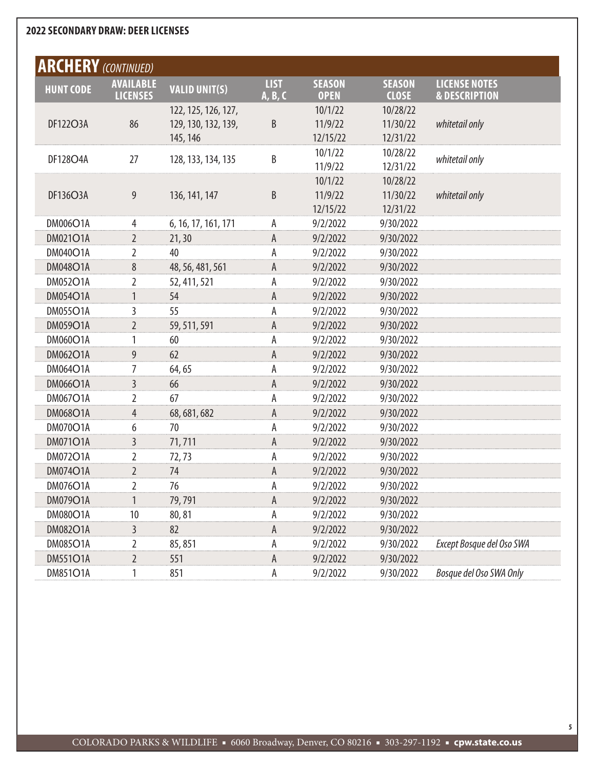| <b>ARCHERY</b> (CONTINUED)                                                                                                                                                                                                     |  |
|--------------------------------------------------------------------------------------------------------------------------------------------------------------------------------------------------------------------------------|--|
|                                                                                                                                                                                                                                |  |
| <b>LIST</b><br><b>SEASON</b><br><b>SEASON</b><br><b>LICENSE NOTES</b><br><b>AVAILABLE</b><br><b>VALID UNIT(S)</b><br><b>HUNT CODE</b><br><b>LICENSES</b><br><b>OPEN</b><br><b>CLOSE</b><br><b>&amp; DESCRIPTION</b><br>A, B, C |  |
| 10/28/22<br>122, 125, 126, 127,<br>10/1/22                                                                                                                                                                                     |  |
| 86<br>B<br>DF122O3A<br>129, 130, 132, 139,<br>11/9/22<br>11/30/22<br>whitetail only                                                                                                                                            |  |
| 12/15/22<br>12/31/22<br>145, 146                                                                                                                                                                                               |  |
| 10/1/22<br>10/28/22<br>В<br><b>DF128O4A</b><br>27<br>128, 133, 134, 135<br>whitetail only                                                                                                                                      |  |
| 11/9/22<br>12/31/22                                                                                                                                                                                                            |  |
| 10/1/22<br>10/28/22                                                                                                                                                                                                            |  |
| B<br>DF136O3A<br>9<br>11/9/22<br>11/30/22<br>whitetail only<br>136, 141, 147                                                                                                                                                   |  |
| 12/15/22<br>12/31/22                                                                                                                                                                                                           |  |
| <b>DM006O1A</b><br>9/2/2022<br>6, 16, 17, 161, 171<br>9/30/2022<br>4<br>А                                                                                                                                                      |  |
| <b>DM021O1A</b><br>$\overline{2}$<br>А<br>21, 30<br>9/2/2022<br>9/30/2022                                                                                                                                                      |  |
| <b>DM040O1A</b><br>9/2/2022<br>9/30/2022<br>2<br>40<br>А                                                                                                                                                                       |  |
| А<br><b>DM048O1A</b><br>8<br>48, 56, 481, 561<br>9/2/2022<br>9/30/2022                                                                                                                                                         |  |
| <b>DM052O1A</b><br>9/2/2022<br>2<br>А<br>9/30/2022<br>52, 411, 521                                                                                                                                                             |  |
| А<br><b>DM054O1A</b><br>1<br>54<br>9/2/2022<br>9/30/2022                                                                                                                                                                       |  |
| <b>DM055O1A</b><br>55<br>9/2/2022<br>9/30/2022<br>3<br>А                                                                                                                                                                       |  |
| A<br><b>DM059O1A</b><br>$\overline{2}$<br>59, 511, 591<br>9/2/2022<br>9/30/2022                                                                                                                                                |  |
| <b>DM060O1A</b><br>А<br>9/2/2022<br>1<br>60<br>9/30/2022                                                                                                                                                                       |  |
| A<br><b>DM062O1A</b><br>9<br>62<br>9/2/2022<br>9/30/2022                                                                                                                                                                       |  |
| <b>DM064O1A</b><br>9/2/2022<br>64,65<br>А<br>9/30/2022<br>7                                                                                                                                                                    |  |
| A<br><b>DM066O1A</b><br>3<br>66<br>9/2/2022<br>9/30/2022                                                                                                                                                                       |  |
| <b>DM067O1A</b><br>67<br>9/2/2022<br>2<br>А<br>9/30/2022                                                                                                                                                                       |  |
| А<br><b>DM068O1A</b><br>4<br>68, 681, 682<br>9/2/2022<br>9/30/2022                                                                                                                                                             |  |
| <b>DM070O1A</b><br>9/2/2022<br>6<br>70<br>А<br>9/30/2022                                                                                                                                                                       |  |
| А<br><b>DM071O1A</b><br>3<br>71,711<br>9/2/2022<br>9/30/2022                                                                                                                                                                   |  |
| <b>DM072O1A</b><br>9/2/2022<br>2<br>А<br>9/30/2022<br>72,73                                                                                                                                                                    |  |
| Α<br><b>DM074O1A</b><br>2<br>74<br>9/2/2022<br>9/30/2022                                                                                                                                                                       |  |
| <b>DM076O1A</b><br>2<br>76<br>А<br>9/2/2022<br>9/30/2022                                                                                                                                                                       |  |
| A<br>DM079O1A<br>$\mathbf{1}$<br>79,791<br>9/2/2022<br>9/30/2022                                                                                                                                                               |  |
| <b>DM080O1A</b><br>9/2/2022<br>9/30/2022<br>10<br>80,81<br>Α                                                                                                                                                                   |  |
| А<br><b>DM082O1A</b><br>3<br>82<br>9/30/2022<br>9/2/2022                                                                                                                                                                       |  |
| <b>DM085O1A</b><br>Except Bosque del Oso SWA<br>9/2/2022<br>9/30/2022<br>2<br>85,851<br>А                                                                                                                                      |  |
| А<br><b>DM551O1A</b><br>$\overline{2}$<br>551<br>9/30/2022<br>9/2/2022                                                                                                                                                         |  |
| Bosque del Oso SWA Only<br><b>DM851O1A</b><br>851<br>А<br>9/2/2022<br>9/30/2022<br>1                                                                                                                                           |  |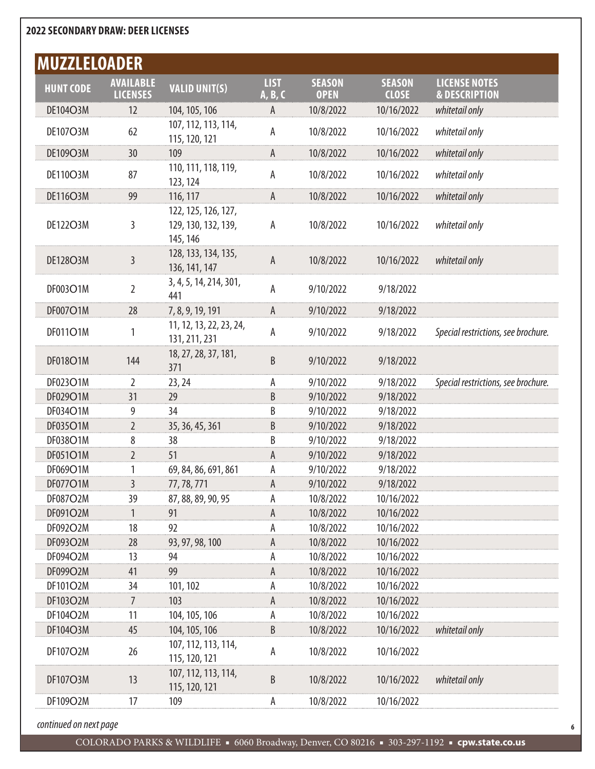| <b>MUZZLELOADER</b> |                                     |                                                        |                        |                              |                               |                                                  |
|---------------------|-------------------------------------|--------------------------------------------------------|------------------------|------------------------------|-------------------------------|--------------------------------------------------|
| <b>HUNT CODE</b>    | <b>AVAILABLE</b><br><b>LICENSES</b> | <b>VALID UNIT(S)</b>                                   | <b>LIST</b><br>A, B, C | <b>SEASON</b><br><b>OPEN</b> | <b>SEASON</b><br><b>CLOSE</b> | <b>LICENSE NOTES</b><br><b>&amp; DESCRIPTION</b> |
| DE104O3M            | 12                                  | 104, 105, 106                                          | A                      | 10/8/2022                    | 10/16/2022                    | whitetail only                                   |
| <b>DE107O3M</b>     | 62                                  | 107, 112, 113, 114,<br>115, 120, 121                   | А                      | 10/8/2022                    | 10/16/2022                    | whitetail only                                   |
| DE109O3M            | 30                                  | 109                                                    | A                      | 10/8/2022                    | 10/16/2022                    | whitetail only                                   |
| DE110O3M            | 87                                  | 110, 111, 118, 119,<br>123, 124                        | Α                      | 10/8/2022                    | 10/16/2022                    | whitetail only                                   |
| <b>DE116O3M</b>     | 99                                  | 116, 117                                               | A                      | 10/8/2022                    | 10/16/2022                    | whitetail only                                   |
| DE122O3M            | 3                                   | 122, 125, 126, 127,<br>129, 130, 132, 139,<br>145, 146 | A                      | 10/8/2022                    | 10/16/2022                    | whitetail only                                   |
| DE128O3M            | 3                                   | 128, 133, 134, 135,<br>136, 141, 147                   | $\mathsf A$            | 10/8/2022                    | 10/16/2022                    | whitetail only                                   |
| DF003O1M            | 2                                   | 3, 4, 5, 14, 214, 301,<br>441                          | A                      | 9/10/2022                    | 9/18/2022                     |                                                  |
| DF007O1M            | 28                                  | 7, 8, 9, 19, 191                                       | A                      | 9/10/2022                    | 9/18/2022                     |                                                  |
| DF011O1M            | 1                                   | 11, 12, 13, 22, 23, 24,<br>131, 211, 231               | А                      | 9/10/2022                    | 9/18/2022                     | Special restrictions, see brochure.              |
| DF018O1M            | 144                                 | 18, 27, 28, 37, 181,<br>371                            | B                      | 9/10/2022                    | 9/18/2022                     |                                                  |
| DF023O1M            | $\overline{2}$                      | 23, 24                                                 | A                      | 9/10/2022                    | 9/18/2022                     | Special restrictions, see brochure.              |
| DF029O1M            | 31                                  | 29                                                     | B                      | 9/10/2022                    | 9/18/2022                     |                                                  |
| DF034O1M            | 9                                   | 34                                                     | B                      | 9/10/2022                    | 9/18/2022                     |                                                  |
| DF035O1M            | $\overline{2}$                      | 35, 36, 45, 361                                        | B                      | 9/10/2022                    | 9/18/2022                     |                                                  |
| DF038O1M            | 8                                   | 38                                                     | B                      | 9/10/2022                    | 9/18/2022                     |                                                  |
| DF051O1M            | $\overline{2}$                      | 51                                                     | A                      | 9/10/2022                    | 9/18/2022                     |                                                  |
| DF069O1M            | 1                                   | 69, 84, 86, 691, 861                                   | А                      | 9/10/2022                    | 9/18/2022                     |                                                  |
| DF077O1M            | $\overline{3}$                      | 77, 78, 771                                            | А                      | 9/10/2022                    | 9/18/2022                     |                                                  |
| DF087O2M            | 39                                  | 87, 88, 89, 90, 95                                     | A                      | 10/8/2022                    | 10/16/2022                    |                                                  |
| DF091O2M            | 1                                   | 91                                                     | A                      | 10/8/2022                    | 10/16/2022                    |                                                  |
| DF092O2M            | 18                                  | 92                                                     | A                      | 10/8/2022                    | 10/16/2022                    |                                                  |
| DF093O2M            | 28                                  | 93, 97, 98, 100                                        | $\mathsf A$            | 10/8/2022                    | 10/16/2022                    |                                                  |
| DF094O2M            | 13                                  | 94                                                     | А                      | 10/8/2022                    | 10/16/2022                    |                                                  |
| DF099O2M            | 41                                  | 99                                                     | A                      | 10/8/2022                    | 10/16/2022                    |                                                  |
| DF101O2M            | 34                                  | 101, 102                                               | A                      | 10/8/2022                    | 10/16/2022                    |                                                  |
| DF103O2M            | 7                                   | 103                                                    | $\mathsf A$            | 10/8/2022                    | 10/16/2022                    |                                                  |
| DF104O2M            | 11                                  | 104, 105, 106                                          | A                      | 10/8/2022                    | 10/16/2022                    |                                                  |
| DF104O3M            | 45                                  | 104, 105, 106                                          | B                      | 10/8/2022                    | 10/16/2022                    | whitetail only                                   |
| DF107O2M            | 26                                  | 107, 112, 113, 114,<br>115, 120, 121                   | A                      | 10/8/2022                    | 10/16/2022                    |                                                  |
| DF107O3M            | 13                                  | 107, 112, 113, 114,<br>115, 120, 121                   | B                      | 10/8/2022                    | 10/16/2022                    | whitetail only                                   |
| DF109O2M            | 17                                  | 109                                                    | A                      | 10/8/2022                    | 10/16/2022                    |                                                  |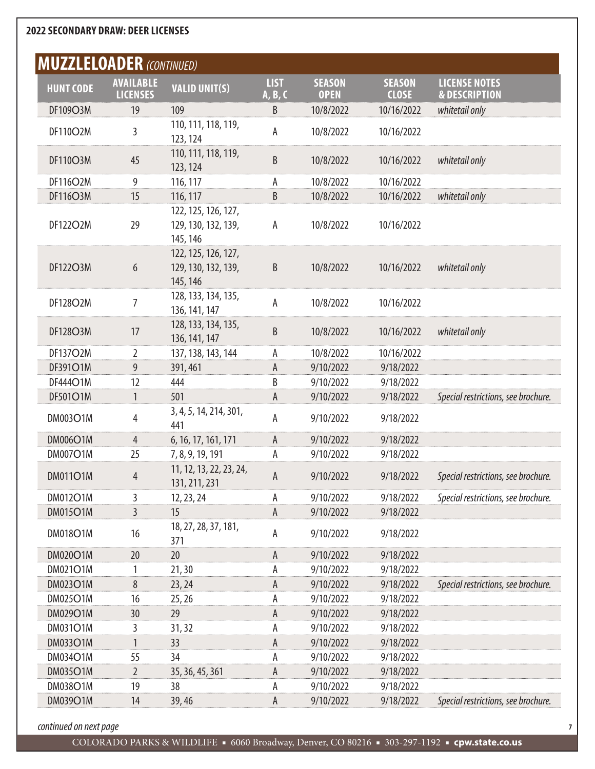| <b>MUZZLELOADER (CONTINUED)</b> |                                     |                                                        |                        |                              |                               |                                                  |
|---------------------------------|-------------------------------------|--------------------------------------------------------|------------------------|------------------------------|-------------------------------|--------------------------------------------------|
| <b>HUNT CODE</b>                | <b>AVAILABLE</b><br><b>LICENSES</b> | <b>VALID UNIT(S)</b>                                   | <b>LIST</b><br>A, B, C | <b>SEASON</b><br><b>OPEN</b> | <b>SEASON</b><br><b>CLOSE</b> | <b>LICENSE NOTES</b><br><b>&amp; DESCRIPTION</b> |
| DF109O3M                        | 19                                  | 109                                                    | B                      | 10/8/2022                    | 10/16/2022                    | whitetail only                                   |
| DF110O2M                        | 3                                   | 110, 111, 118, 119,<br>123, 124                        | А                      | 10/8/2022                    | 10/16/2022                    |                                                  |
| DF110O3M                        | 45                                  | 110, 111, 118, 119,<br>123, 124                        | B                      | 10/8/2022                    | 10/16/2022                    | whitetail only                                   |
| <b>DF116O2M</b>                 | 9                                   | 116, 117                                               | Α                      | 10/8/2022                    | 10/16/2022                    |                                                  |
| DF116O3M                        | 15                                  | 116, 117                                               | B                      | 10/8/2022                    | 10/16/2022                    | whitetail only                                   |
| DF122O2M                        | 29                                  | 122, 125, 126, 127,<br>129, 130, 132, 139,<br>145, 146 | Α                      | 10/8/2022                    | 10/16/2022                    |                                                  |
| DF122O3M                        | 6                                   | 122, 125, 126, 127,<br>129, 130, 132, 139,<br>145, 146 | B                      | 10/8/2022                    | 10/16/2022                    | whitetail only                                   |
| DF128O2M                        | 7                                   | 128, 133, 134, 135,<br>136, 141, 147                   | А                      | 10/8/2022                    | 10/16/2022                    |                                                  |
| <b>DF128O3M</b>                 | 17                                  | 128, 133, 134, 135,<br>136, 141, 147                   | B                      | 10/8/2022                    | 10/16/2022                    | whitetail only                                   |
| DF137O2M                        | $\overline{2}$                      | 137, 138, 143, 144                                     | А                      | 10/8/2022                    | 10/16/2022                    |                                                  |
| DF391O1M                        | 9                                   | 391, 461                                               | A                      | 9/10/2022                    | 9/18/2022                     |                                                  |
| DF444O1M                        | 12                                  | 444                                                    | B                      | 9/10/2022                    | 9/18/2022                     |                                                  |
| DF501O1M                        | 1                                   | 501                                                    | А                      | 9/10/2022                    | 9/18/2022                     | Special restrictions, see brochure.              |
| <b>DM003O1M</b>                 | 4                                   | 3, 4, 5, 14, 214, 301,<br>441                          | А                      | 9/10/2022                    | 9/18/2022                     |                                                  |
| <b>DM006O1M</b>                 | 4                                   | 6, 16, 17, 161, 171                                    | А                      | 9/10/2022                    | 9/18/2022                     |                                                  |
| <b>DM007O1M</b>                 | 25                                  | 7, 8, 9, 19, 191                                       | Α                      | 9/10/2022                    | 9/18/2022                     |                                                  |
| <b>DM011O1M</b>                 | 4                                   | 11, 12, 13, 22, 23, 24,<br>131, 211, 231               | A                      | 9/10/2022                    | 9/18/2022                     | Special restrictions, see brochure.              |
| <b>DM012O1M</b>                 | 3                                   | 12, 23, 24                                             | А                      | 9/10/2022                    | 9/18/2022                     | Special restrictions, see brochure.              |
| <b>DM015O1M</b>                 | 3                                   | 15                                                     | А                      | 9/10/2022                    | 9/18/2022                     |                                                  |
| <b>DM018O1M</b>                 | 16                                  | 18, 27, 28, 37, 181,<br>371                            | А                      | 9/10/2022                    | 9/18/2022                     |                                                  |
| DM020O1M                        | 20                                  | 20                                                     | А                      | 9/10/2022                    | 9/18/2022                     |                                                  |
| <b>DM021O1M</b>                 | 1                                   | 21,30                                                  | А                      | 9/10/2022                    | 9/18/2022                     |                                                  |
| <b>DM023O1M</b>                 | 8                                   | 23, 24                                                 | Α                      | 9/10/2022                    | 9/18/2022                     | Special restrictions, see brochure.              |
| <b>DM025O1M</b>                 | 16                                  | 25, 26                                                 | А                      | 9/10/2022                    | 9/18/2022                     |                                                  |
| DM029O1M                        | 30                                  | 29                                                     | А                      | 9/10/2022                    | 9/18/2022                     |                                                  |
| <b>DM031O1M</b>                 | 3                                   | 31, 32                                                 | А                      | 9/10/2022                    | 9/18/2022                     |                                                  |
| <b>DM033O1M</b>                 | 1                                   | 33                                                     | Α                      | 9/10/2022                    | 9/18/2022                     |                                                  |
| DM034O1M                        | 55                                  | 34                                                     | А                      | 9/10/2022                    | 9/18/2022                     |                                                  |
| <b>DM035O1M</b>                 | $\overline{2}$                      | 35, 36, 45, 361                                        | А                      | 9/10/2022                    | 9/18/2022                     |                                                  |
| <b>DM038O1M</b>                 | 19                                  | 38                                                     | А                      | 9/10/2022                    | 9/18/2022                     |                                                  |
| DM039O1M                        | 14                                  | 39,46                                                  | А                      | 9/10/2022                    | 9/18/2022                     | Special restrictions, see brochure.              |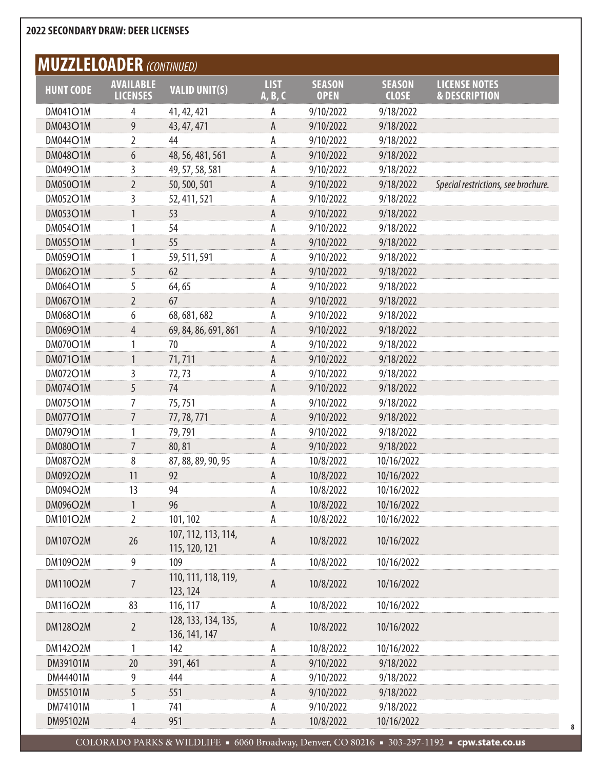# **MUZZLELOADER** *(CONTINUED)*

| $\mathbf{v}$ . The magnetic state $\mathbf{v}$ and $\mathbf{v}$ (continuold) | <b>AVAILABLE</b> |                                      | <b>LIST</b> | <b>SEASON</b> | <b>SEASON</b> | <b>LICENSE NOTES</b>                |
|------------------------------------------------------------------------------|------------------|--------------------------------------|-------------|---------------|---------------|-------------------------------------|
| <b>HUNT CODE</b>                                                             | <b>LICENSES</b>  | <b>VALID UNIT(S)</b>                 | A, B, C     | <b>OPEN</b>   | <b>CLOSE</b>  | <b>&amp; DESCRIPTION</b>            |
| <b>DM041O1M</b>                                                              | 4                | 41, 42, 421                          | А           | 9/10/2022     | 9/18/2022     |                                     |
| <b>DM043O1M</b>                                                              | 9                | 43, 47, 471                          | А           | 9/10/2022     | 9/18/2022     |                                     |
| <b>DM044O1M</b>                                                              | 2                | 44                                   | А           | 9/10/2022     | 9/18/2022     |                                     |
| <b>DM048O1M</b>                                                              | 6                | 48, 56, 481, 561                     | А           | 9/10/2022     | 9/18/2022     |                                     |
| DM049O1M                                                                     | 3                | 49, 57, 58, 581                      | А           | 9/10/2022     | 9/18/2022     |                                     |
| <b>DM050O1M</b>                                                              | 2                | 50, 500, 501                         | А           | 9/10/2022     | 9/18/2022     | Special restrictions, see brochure. |
| <b>DM052O1M</b>                                                              | 3                | 52, 411, 521                         | А           | 9/10/2022     | 9/18/2022     |                                     |
| <b>DM053O1M</b>                                                              | 1                | 53                                   | A           | 9/10/2022     | 9/18/2022     |                                     |
| <b>DM054O1M</b>                                                              | 1                | 54                                   | А           | 9/10/2022     | 9/18/2022     |                                     |
| <b>DM055O1M</b>                                                              | $\mathbf{1}$     | 55                                   | A           | 9/10/2022     | 9/18/2022     |                                     |
| <b>DM059O1M</b>                                                              | 1                | 59, 511, 591                         | А           | 9/10/2022     | 9/18/2022     |                                     |
| <b>DM062O1M</b>                                                              | 5                | 62                                   | A           | 9/10/2022     | 9/18/2022     |                                     |
| <b>DM064O1M</b>                                                              | 5                | 64,65                                | А           | 9/10/2022     | 9/18/2022     |                                     |
| <b>DM067O1M</b>                                                              | 2                | 67                                   | A           | 9/10/2022     | 9/18/2022     |                                     |
| <b>DM068O1M</b>                                                              | 6                | 68, 681, 682                         | А           | 9/10/2022     | 9/18/2022     |                                     |
| DM069O1M                                                                     | 4                | 69, 84, 86, 691, 861                 | А           | 9/10/2022     | 9/18/2022     |                                     |
| <b>DM070O1M</b>                                                              | 1                | 70                                   | А           | 9/10/2022     | 9/18/2022     |                                     |
| <b>DM071O1M</b>                                                              | $\mathbf{1}$     | 71,711                               | A           | 9/10/2022     | 9/18/2022     |                                     |
| <b>DM072O1M</b>                                                              | 3                | 72,73                                | А           | 9/10/2022     | 9/18/2022     |                                     |
| DM074O1M                                                                     | 5                | 74                                   | A           | 9/10/2022     | 9/18/2022     |                                     |
| <b>DM075O1M</b>                                                              | 7                | 75,751                               | А           | 9/10/2022     | 9/18/2022     |                                     |
| <b>DM077O1M</b>                                                              | 7                | 77, 78, 771                          | A           | 9/10/2022     | 9/18/2022     |                                     |
| DM079O1M                                                                     | 1                | 79,791                               | А           | 9/10/2022     | 9/18/2022     |                                     |
| <b>DM080O1M</b>                                                              | 7                | 80,81                                | А           | 9/10/2022     | 9/18/2022     |                                     |
| <b>DM087O2M</b>                                                              | 8                | 87, 88, 89, 90, 95                   | А           | 10/8/2022     | 10/16/2022    |                                     |
| <b>DM092O2M</b>                                                              | 11               | 92                                   | A           | 10/8/2022     | 10/16/2022    |                                     |
| DM094O2M                                                                     | 13               | 94                                   | А           | 10/8/2022     | 10/16/2022    |                                     |
| DM096O2M                                                                     | $\mathbf{1}$     | 96                                   | A           | 10/8/2022     | 10/16/2022    |                                     |
| <b>DM101O2M</b>                                                              | 2                | 101, 102                             | А           | 10/8/2022     | 10/16/2022    |                                     |
| <b>DM107O2M</b>                                                              | 26               | 107, 112, 113, 114,<br>115, 120, 121 | $\mathsf A$ | 10/8/2022     | 10/16/2022    |                                     |
| DM109O2M                                                                     | 9                | 109                                  | А           | 10/8/2022     | 10/16/2022    |                                     |
| <b>DM110O2M</b>                                                              | 7                | 110, 111, 118, 119,<br>123, 124      | A           | 10/8/2022     | 10/16/2022    |                                     |
| <b>DM116O2M</b>                                                              | 83               | 116, 117                             | А           | 10/8/2022     | 10/16/2022    |                                     |
| <b>DM128O2M</b>                                                              | $\overline{2}$   | 128, 133, 134, 135,<br>136, 141, 147 | A           | 10/8/2022     | 10/16/2022    |                                     |
| <b>DM142O2M</b>                                                              | 1                | 142                                  | А           | 10/8/2022     | 10/16/2022    |                                     |
| DM39101M                                                                     | 20               | 391, 461                             | А           | 9/10/2022     | 9/18/2022     |                                     |
| DM44401M                                                                     | 9                | 444                                  | А           | 9/10/2022     | 9/18/2022     |                                     |
| DM55101M                                                                     | 5                | 551                                  | А           | 9/10/2022     | 9/18/2022     |                                     |
| DM74101M                                                                     | 1                | 741                                  | А           | 9/10/2022     | 9/18/2022     |                                     |
| DM95102M                                                                     | 4                | 951                                  | А           | 10/8/2022     | 10/16/2022    |                                     |
|                                                                              |                  |                                      |             |               |               |                                     |

COLORADO PARKS & WILDLIFE ■ 6060 Broadway, Denver, CO 80216 ■ 303-297-1192 ■ **cpw.state.co.us**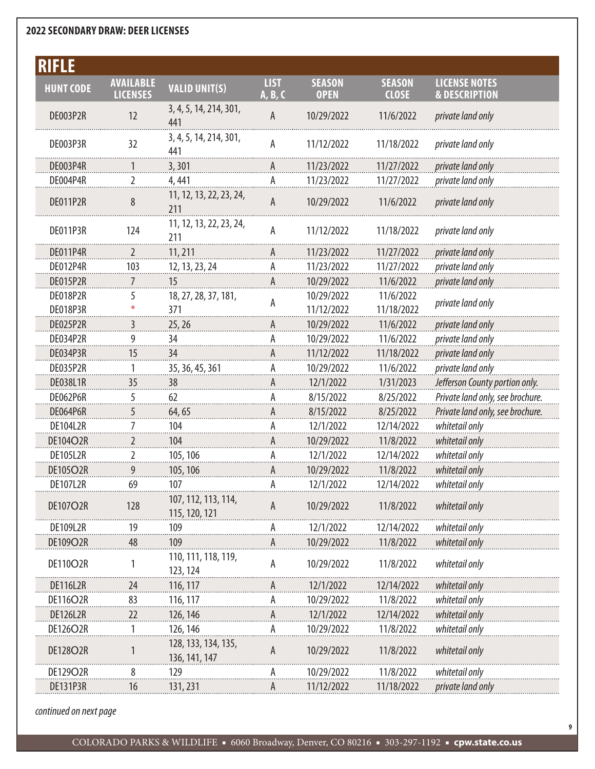| <b>RIFLE</b>     |                                     |                                      |                        |                              |                               |                                                  |
|------------------|-------------------------------------|--------------------------------------|------------------------|------------------------------|-------------------------------|--------------------------------------------------|
| <b>HUNT CODE</b> | <b>AVAILABLE</b><br><b>LICENSES</b> | <b>VALID UNIT(S)</b>                 | <b>LIST</b><br>A, B, C | <b>SEASON</b><br><b>OPEN</b> | <b>SEASON</b><br><b>CLOSE</b> | <b>LICENSE NOTES</b><br><b>&amp; DESCRIPTION</b> |
| DE003P2R         | 12                                  | 3, 4, 5, 14, 214, 301,<br>441        | A                      | 10/29/2022                   | 11/6/2022                     | private land only                                |
| DE003P3R         | 32                                  | 3, 4, 5, 14, 214, 301,<br>441        | А                      | 11/12/2022                   | 11/18/2022                    | private land only                                |
| DE003P4R         |                                     | 3,301                                |                        | 11/23/2022                   | 11/27/2022                    | private land only                                |
| DE004P4R         | 2                                   | 4, 441                               | А                      | 11/23/2022                   | 11/27/2022                    | private land only                                |
| DE011P2R         | 8                                   | 11, 12, 13, 22, 23, 24,<br>211       | $\mathsf A$            | 10/29/2022                   | 11/6/2022                     | private land only                                |
| DE011P3R         | 124                                 | 11, 12, 13, 22, 23, 24,<br>211       | A                      | 11/12/2022                   | 11/18/2022                    | private land only                                |
| <b>DE011P4R</b>  | 2                                   | 11,211                               | A                      | 11/23/2022                   | 11/27/2022                    | private land only                                |
| DE012P4R         | 103                                 | 12, 13, 23, 24                       | А                      | 11/23/2022                   | 11/27/2022                    | private land only                                |
| DE015P2R         | 7                                   | 15                                   | А                      | 10/29/2022                   | 11/6/2022                     | private land only                                |
| DE018P2R         | 5                                   | 18, 27, 28, 37, 181,                 |                        | 10/29/2022                   | 11/6/2022                     |                                                  |
| DE018P3R         |                                     | 371                                  | А                      | 11/12/2022                   | 11/18/2022                    | private land only                                |
| DE025P2R         | 3                                   | 25, 26                               | A                      | 10/29/2022                   | 11/6/2022                     | private land only                                |
| DE034P2R         | 9                                   | 34                                   | А                      | 10/29/2022                   | 11/6/2022                     | private land only                                |
| DE034P3R         | 15                                  | 34                                   | А                      | 11/12/2022                   | 11/18/2022                    | private land only                                |
| DE035P2R         | 1                                   | 35, 36, 45, 361                      | А                      | 10/29/2022                   | 11/6/2022                     | private land only                                |
| <b>DE038L1R</b>  | 35                                  | 38                                   | А                      | 12/1/2022                    | 1/31/2023                     | Jefferson County portion only.                   |
| DE062P6R         | 5                                   | 62                                   | А                      | 8/15/2022                    | 8/25/2022                     | Private land only, see brochure.                 |
| DE064P6R         | 5                                   | 64,65                                | A                      | 8/15/2022                    | 8/25/2022                     | Private land only, see brochure.                 |
| DE104L2R         | 7                                   | 104                                  | А                      | 12/1/2022                    | 12/14/2022                    | whitetail only                                   |
| DE104O2R         | 2                                   | 104                                  | Α                      | 10/29/2022                   | 11/8/2022                     | whitetail only                                   |
| <b>DE105L2R</b>  | 2                                   | 105, 106                             | А                      | 12/1/2022                    | 12/14/2022                    | whitetail only                                   |
| <b>DE105O2R</b>  | 9                                   | 105, 106                             | A                      | 10/29/2022                   | 11/8/2022                     | whitetail only                                   |
| DE107L2R         | 69                                  | 107                                  |                        | 12/1/2022                    | 12/14/2022                    | whitetail only                                   |
| <b>DE107O2R</b>  | 128                                 | 107, 112, 113, 114,<br>115, 120, 121 | A                      | 10/29/2022                   | 11/8/2022                     | whitetail only                                   |
| <b>DE109L2R</b>  | 19                                  | 109                                  |                        | 12/1/2022                    | 12/14/2022                    | whitetail only                                   |
| DE109O2R         | 48                                  | 109                                  | A                      | 10/29/2022                   | 11/8/2022                     | whitetail only                                   |
| DE110O2R         | 1                                   | 110, 111, 118, 119,<br>123, 124      | A                      | 10/29/2022                   | 11/8/2022                     | whitetail only                                   |
| <b>DE116L2R</b>  | 24                                  | 116, 117                             |                        | 12/1/2022                    | 12/14/2022                    | whitetail only                                   |
| <b>DE116O2R</b>  | 83                                  | 116, 117                             |                        | 10/29/2022                   | 11/8/2022                     | whitetail only                                   |
| <b>DE126L2R</b>  | 22                                  | 126, 146                             |                        | 12/1/2022                    | 12/14/2022                    | whitetail only                                   |
| DE126O2R         |                                     | 126, 146                             | А                      | 10/29/2022                   | 11/8/2022                     | whitetail only                                   |
| DE128O2R         |                                     | 128, 133, 134, 135,<br>136, 141, 147 | A                      | 10/29/2022                   | 11/8/2022                     | whitetail only                                   |
| DE129O2R         | 8                                   | 129                                  |                        | 10/29/2022                   | 11/8/2022                     | whitetail only                                   |
| DE131P3R         | 16                                  | 131, 231                             | A                      | 11/12/2022                   | 11/18/2022                    | private land only                                |

*continued on next page*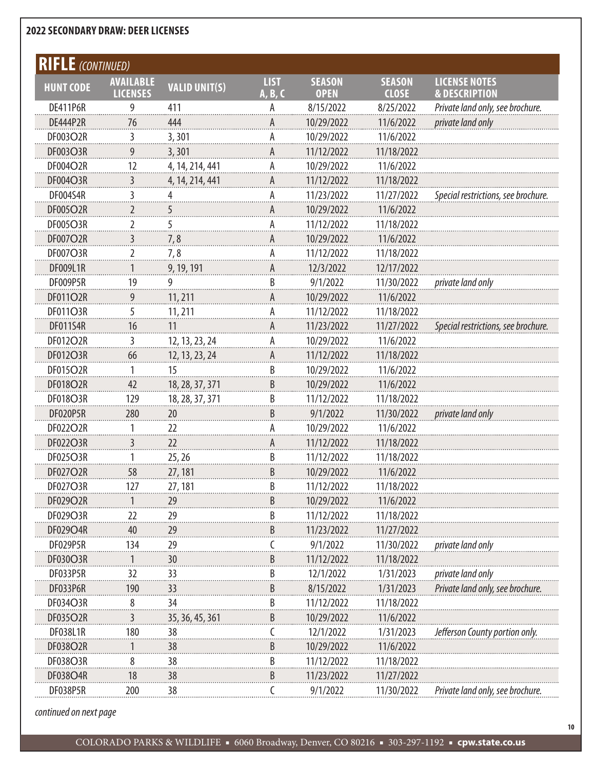| <b>RIFLE</b> (CONTINUED) |                                     |                      |                        |                              |                               |                                                  |
|--------------------------|-------------------------------------|----------------------|------------------------|------------------------------|-------------------------------|--------------------------------------------------|
| <b>HUNT CODE</b>         | <b>AVAILABLE</b><br><b>LICENSES</b> | <b>VALID UNIT(S)</b> | <b>LIST</b><br>A, B, C | <b>SEASON</b><br><b>OPEN</b> | <b>SEASON</b><br><b>CLOSE</b> | <b>LICENSE NOTES</b><br><b>&amp; DESCRIPTION</b> |
| <b>DE411P6R</b>          | 9                                   | 411                  |                        | 8/15/2022                    | 8/25/2022                     | Private land only, see brochure.                 |
| <b>DE444P2R</b>          | 76                                  | 444                  | A                      | 10/29/2022                   | 11/6/2022                     | private land only                                |
| DF003O2R                 | 3                                   | 3,301                | А                      | 10/29/2022                   | 11/6/2022                     |                                                  |
| DF003O3R                 | 9                                   | 3,301                | А                      | 11/12/2022                   | 11/18/2022                    |                                                  |
| DF004O2R                 | 12                                  | 4, 14, 214, 441      | А                      | 10/29/2022                   | 11/6/2022                     |                                                  |
| DF004O3R                 | 3                                   | 4, 14, 214, 441      | A                      | 11/12/2022                   | 11/18/2022                    |                                                  |
| <b>DF004S4R</b>          | 3                                   |                      | А                      | 11/23/2022                   | 11/27/2022                    | Special restrictions, see brochure.              |
| DF005O2R                 | 2                                   | ć                    | А                      | 10/29/2022                   | 11/6/2022                     |                                                  |
| <b>DF005O3R</b>          | 2                                   | 5                    | А                      | 11/12/2022                   | 11/18/2022                    |                                                  |
| DF007O2R                 | 3                                   | 7,8                  | A                      | 10/29/2022                   | 11/6/2022                     |                                                  |
| <b>DF007O3R</b>          | 2                                   | 7,8                  | А                      | 11/12/2022                   | 11/18/2022                    |                                                  |
| DF009L1R                 |                                     | 9, 19, 191           | A                      | 12/3/2022                    | 12/17/2022                    |                                                  |
| DF009P5R                 | 19                                  | 9                    | B                      | 9/1/2022                     | 11/30/2022                    | private land only                                |
| DF011O2R                 | 9                                   | 11, 211              | A                      | 10/29/2022                   | 11/6/2022                     |                                                  |
| DF011O3R                 | 5                                   | 11, 211              | А                      | 11/12/2022                   | 11/18/2022                    |                                                  |
| <b>DF011S4R</b>          | 16                                  | 11                   | A                      | 11/23/2022                   | 11/27/2022                    | Special restrictions, see brochure.              |
| DF012O2R                 | 3                                   | 12, 13, 23, 24       | А                      | 10/29/2022                   | 11/6/2022                     |                                                  |
| DF012O3R                 | 66                                  | 12, 13, 23, 24       | A                      | 11/12/2022                   | 11/18/2022                    |                                                  |
| DF015O2R                 | 1                                   | 15                   | B                      | 10/29/2022                   | 11/6/2022                     |                                                  |
| DF018O2R                 | 42                                  | 18, 28, 37, 371      | B                      | 10/29/2022                   | 11/6/2022                     |                                                  |
| <b>DF018O3R</b>          | 129                                 | 18, 28, 37, 371      | B                      | 11/12/2022                   | 11/18/2022                    |                                                  |
| DF020P5R                 | 280                                 | 20                   | B                      | 9/1/2022                     | 11/30/2022                    | private land only                                |
| DF022O2R                 | 1                                   | 22                   | А                      | 10/29/2022                   | 11/6/2022                     |                                                  |
| DF022O3R                 | 3                                   | 22                   | A                      | 11/12/2022                   | 11/18/2022                    |                                                  |
| DF025O3R                 |                                     | 25, 26               | B                      | 11/12/2022                   | 11/18/2022                    |                                                  |
| DF027O2R                 | 58                                  | 27, 181              | B                      | 10/29/2022                   | 11/6/2022                     |                                                  |
| DF027O3R                 | 127                                 | 27, 181              | B                      | 11/12/2022                   | 11/18/2022                    |                                                  |
| DF029O2R                 |                                     | 29                   | B                      | 10/29/2022                   | 11/6/2022                     |                                                  |
| DF029O3R                 | 22                                  | 29                   | B                      | 11/12/2022                   | 11/18/2022                    |                                                  |
| DF029O4R                 | 40                                  | 29                   | B                      | 11/23/2022                   | 11/27/2022                    |                                                  |
| DF029P5R                 | 134                                 | 29                   |                        | 9/1/2022                     | 11/30/2022                    | private land only                                |
| DF030O3R                 |                                     | 30                   | B                      | 11/12/2022                   | 11/18/2022                    |                                                  |
| DF033P5R                 | 32                                  | 33                   | B                      | 12/1/2022                    | 1/31/2023                     | private land only                                |
| DF033P6R                 | 190                                 | 33                   | В                      | 8/15/2022                    | 1/31/2023                     | Private land only, see brochure.                 |
| DF034O3R                 | 8                                   | 34                   | B                      | 11/12/2022                   | 11/18/2022                    |                                                  |
| DF035O2R                 | 3                                   | 35, 36, 45, 361      | B                      | 10/29/2022                   | 11/6/2022                     |                                                  |
| DF038L1R                 | 180                                 | 38                   | C                      | 12/1/2022                    | 1/31/2023                     | Jefferson County portion only.                   |
| DF038O2R                 |                                     | 38                   | B                      | 10/29/2022                   | 11/6/2022                     |                                                  |
| DF038O3R                 | 8                                   | 38                   | B                      | 11/12/2022                   | 11/18/2022                    |                                                  |
| DF038O4R                 | 18                                  | 38                   | B                      | 11/23/2022                   | 11/27/2022                    |                                                  |
| DF038P5R                 | 200                                 | 38                   | C                      | 9/1/2022                     | 11/30/2022                    | Private land only, see brochure.                 |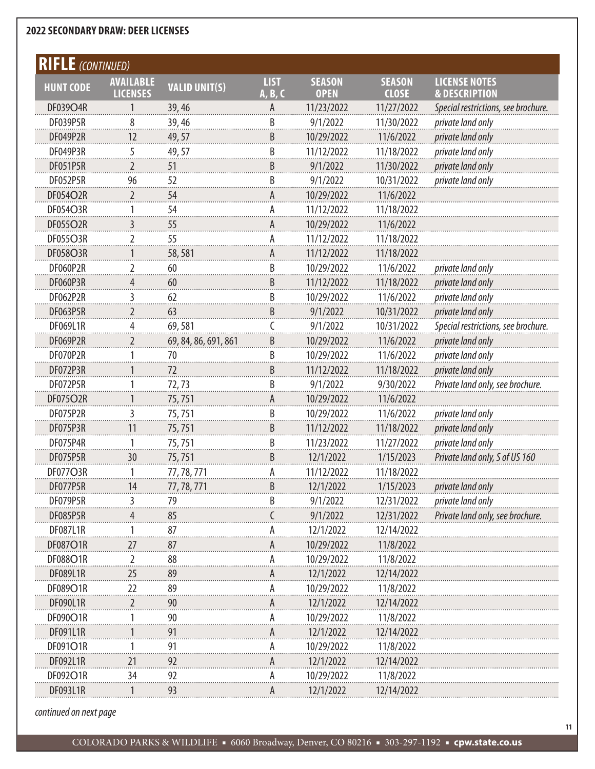| <b>RIFLE</b> (CONTINUED) |                                     |                      |                        |                              |                               |                                                  |
|--------------------------|-------------------------------------|----------------------|------------------------|------------------------------|-------------------------------|--------------------------------------------------|
| <b>HUNT CODE</b>         | <b>AVAILABLE</b><br><b>LICENSES</b> | <b>VALID UNIT(S)</b> | <b>LIST</b><br>A, B, C | <b>SEASON</b><br><b>OPEN</b> | <b>SEASON</b><br><b>CLOSE</b> | <b>LICENSE NOTES</b><br><b>&amp; DESCRIPTION</b> |
| DF039O4R                 | 1                                   | 39, 46               | A                      | 11/23/2022                   | 11/27/2022                    | Special restrictions, see brochure.              |
| DF039P5R                 | 8                                   | 39,46                | B                      | 9/1/2022                     | 11/30/2022                    | private land only                                |
| DF049P2R                 | 12                                  | 49, 57               | B                      | 10/29/2022                   | 11/6/2022                     | private land only                                |
| DF049P3R                 | 5                                   | 49,57                | B                      | 11/12/2022                   | 11/18/2022                    | private land only                                |
| <b>DF051P5R</b>          | $\overline{2}$                      | 51                   | B                      | 9/1/2022                     | 11/30/2022                    | private land only                                |
| DF052P5R                 | 96                                  | 52                   | B                      | 9/1/2022                     | 10/31/2022                    | private land only                                |
| DF054O2R                 | 2                                   | 54                   | Α                      | 10/29/2022                   | 11/6/2022                     |                                                  |
| DF054O3R                 |                                     | 54                   | А                      | 11/12/2022                   | 11/18/2022                    |                                                  |
| DF055O2R                 | 3                                   | 55                   | Α                      | 10/29/2022                   | 11/6/2022                     |                                                  |
| DF055O3R                 | $\overline{2}$                      | 55                   | А                      | 11/12/2022                   | 11/18/2022                    |                                                  |
| DF058O3R                 |                                     | 58,581               | A                      | 11/12/2022                   | 11/18/2022                    |                                                  |
| DF060P2R                 | 2                                   | 60                   | B                      | 10/29/2022                   | 11/6/2022                     | private land only                                |
| DF060P3R                 | 4                                   | 60                   | B                      | 11/12/2022                   | 11/18/2022                    | private land only                                |
| DF062P2R                 | 3                                   | 62                   | B                      | 10/29/2022                   | 11/6/2022                     | private land only                                |
| DF063P5R                 | $\overline{2}$                      | 63                   | B                      | 9/1/2022                     | 10/31/2022                    | private land only                                |
| <b>DF069L1R</b>          | 4                                   | 69,581               | C                      | 9/1/2022                     | 10/31/2022                    | Special restrictions, see brochure.              |
| DF069P2R                 | $\overline{2}$                      | 69, 84, 86, 691, 861 | B                      | 10/29/2022                   | 11/6/2022                     | private land only                                |
| DF070P2R                 |                                     | 70                   | B                      | 10/29/2022                   | 11/6/2022                     | private land only                                |
| DF072P3R                 |                                     | 72                   | B                      | 11/12/2022                   | 11/18/2022                    | private land only                                |
| DF072P5R                 |                                     | 72,73                | B                      | 9/1/2022                     | 9/30/2022                     | Private land only, see brochure.                 |
| DF075O2R                 |                                     | 75,751               | A                      | 10/29/2022                   | 11/6/2022                     |                                                  |
| DF075P2R                 | 3                                   | 75,751               | B                      | 10/29/2022                   | 11/6/2022                     | private land only                                |
| DF075P3R                 | 11                                  | 75,751               | B                      | 11/12/2022                   | 11/18/2022                    | private land only                                |
| DF075P4R                 |                                     | 75,751               | B                      | 11/23/2022                   | 11/27/2022                    | private land only                                |
| DF075P5R                 | 30                                  | 75,751               | B                      | 12/1/2022                    | 1/15/2023                     | Private land only, S of US 160                   |
| <b>DF077O3R</b>          |                                     | 77, 78, 771          | А                      | 11/12/2022                   | 11/18/2022                    |                                                  |
| DF077P5R                 | 14                                  | 77, 78, 771          | В                      | 12/1/2022                    | 1/15/2023                     | private land only                                |
| DF079P5R                 | 3                                   | 79                   | B                      | 9/1/2022                     | 12/31/2022                    | private land only                                |
| DF085P5R                 |                                     | 85                   |                        | 9/1/2022                     | 12/31/2022                    | Private land only, see brochure.                 |
| DF087L1R                 |                                     | 87                   |                        | 12/1/2022                    | 12/14/2022                    |                                                  |
| DF087O1R                 | 27                                  | 87                   | A                      | 10/29/2022                   | 11/8/2022                     |                                                  |
| DF088O1R                 | 2                                   | 88                   | А                      | 10/29/2022                   | 11/8/2022                     |                                                  |
| DF089L1R                 | 25                                  | 89                   |                        | 12/1/2022                    | 12/14/2022                    |                                                  |
| DF089O1R                 | 22                                  | 89                   |                        | 10/29/2022                   | 11/8/2022                     |                                                  |
| DF090L1R                 | 2                                   | 90                   | A                      | 12/1/2022                    | 12/14/2022                    |                                                  |
| DF090O1R                 |                                     | 90                   |                        | 10/29/2022                   | 11/8/2022                     |                                                  |
| DF091L1R                 |                                     | 91                   | A                      | 12/1/2022                    | 12/14/2022                    |                                                  |
| DF091O1R                 |                                     | 91                   |                        | 10/29/2022                   | 11/8/2022                     |                                                  |
| DF092L1R                 | 21                                  | 92                   | А                      | 12/1/2022                    | 12/14/2022                    |                                                  |
| DF092O1R                 | 34                                  | 92                   | Α                      | 10/29/2022                   | 11/8/2022                     |                                                  |
| DF093L1R                 |                                     | 93                   | А                      | 12/1/2022                    | 12/14/2022                    |                                                  |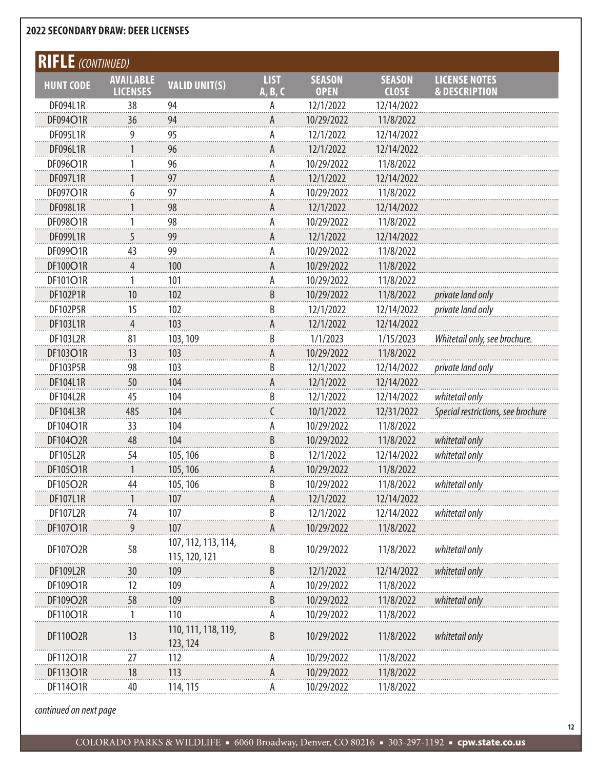| <b>RIFLE</b> (CONTINUED)<br><b>LIST</b><br><b>SEASON</b><br><b>LICENSE NOTES</b><br><b>SEASON</b><br><b>AVAILABLE</b><br><b>VALID UNIT(S)</b><br><b>HUNT CODE</b><br><b>LICENSES</b><br><b>OPEN</b><br><b>CLOSE</b><br><b>&amp; DESCRIPTION</b><br>A, B, C<br>12/14/2022<br>DF094L1R<br>38<br>12/1/2022<br>94<br>А<br>DF094O1R<br>10/29/2022<br>11/8/2022<br>36<br>94<br>A<br><b>DF095L1R</b><br>9<br>95<br>А<br>12/1/2022<br>12/14/2022<br>DF096L1R<br>96<br>12/1/2022<br>12/14/2022<br>A<br>DF096O1R<br>96<br>А<br>10/29/2022<br>11/8/2022<br>1<br><b>DF097L1R</b><br>97<br>12/1/2022<br>12/14/2022<br>А<br>97<br>DF097O1R<br>6<br>10/29/2022<br>11/8/2022<br>А<br>DF098L1R<br>98<br>12/1/2022<br>12/14/2022<br>A<br>98<br>DF098O1R<br>Α<br>10/29/2022<br>11/8/2022<br>1<br>DF099L1R<br>5<br>99<br>12/1/2022<br>12/14/2022<br>А |  |
|-----------------------------------------------------------------------------------------------------------------------------------------------------------------------------------------------------------------------------------------------------------------------------------------------------------------------------------------------------------------------------------------------------------------------------------------------------------------------------------------------------------------------------------------------------------------------------------------------------------------------------------------------------------------------------------------------------------------------------------------------------------------------------------------------------------------------------------|--|
|                                                                                                                                                                                                                                                                                                                                                                                                                                                                                                                                                                                                                                                                                                                                                                                                                                   |  |
|                                                                                                                                                                                                                                                                                                                                                                                                                                                                                                                                                                                                                                                                                                                                                                                                                                   |  |
|                                                                                                                                                                                                                                                                                                                                                                                                                                                                                                                                                                                                                                                                                                                                                                                                                                   |  |
|                                                                                                                                                                                                                                                                                                                                                                                                                                                                                                                                                                                                                                                                                                                                                                                                                                   |  |
|                                                                                                                                                                                                                                                                                                                                                                                                                                                                                                                                                                                                                                                                                                                                                                                                                                   |  |
|                                                                                                                                                                                                                                                                                                                                                                                                                                                                                                                                                                                                                                                                                                                                                                                                                                   |  |
|                                                                                                                                                                                                                                                                                                                                                                                                                                                                                                                                                                                                                                                                                                                                                                                                                                   |  |
|                                                                                                                                                                                                                                                                                                                                                                                                                                                                                                                                                                                                                                                                                                                                                                                                                                   |  |
|                                                                                                                                                                                                                                                                                                                                                                                                                                                                                                                                                                                                                                                                                                                                                                                                                                   |  |
|                                                                                                                                                                                                                                                                                                                                                                                                                                                                                                                                                                                                                                                                                                                                                                                                                                   |  |
|                                                                                                                                                                                                                                                                                                                                                                                                                                                                                                                                                                                                                                                                                                                                                                                                                                   |  |
|                                                                                                                                                                                                                                                                                                                                                                                                                                                                                                                                                                                                                                                                                                                                                                                                                                   |  |
| DF099O1R<br>43<br>99<br>10/29/2022<br>11/8/2022<br>А                                                                                                                                                                                                                                                                                                                                                                                                                                                                                                                                                                                                                                                                                                                                                                              |  |
| DF100O1R<br>100<br>10/29/2022<br>11/8/2022<br>4<br>A                                                                                                                                                                                                                                                                                                                                                                                                                                                                                                                                                                                                                                                                                                                                                                              |  |
| DF101O1R<br>101<br>Α<br>10/29/2022<br>11/8/2022<br>1                                                                                                                                                                                                                                                                                                                                                                                                                                                                                                                                                                                                                                                                                                                                                                              |  |
| B<br>DF102P1R<br>10<br>102<br>10/29/2022<br>11/8/2022<br>private land only                                                                                                                                                                                                                                                                                                                                                                                                                                                                                                                                                                                                                                                                                                                                                        |  |
| B<br><b>DF102P5R</b><br>15<br>102<br>12/1/2022<br>12/14/2022<br>private land only                                                                                                                                                                                                                                                                                                                                                                                                                                                                                                                                                                                                                                                                                                                                                 |  |
| 103<br>DF103L1R<br>12/1/2022<br>12/14/2022<br>А<br>4                                                                                                                                                                                                                                                                                                                                                                                                                                                                                                                                                                                                                                                                                                                                                                              |  |
| B<br>81<br><b>DF103L2R</b><br>103, 109<br>1/1/2023<br>1/15/2023<br>Whitetail only, see brochure.                                                                                                                                                                                                                                                                                                                                                                                                                                                                                                                                                                                                                                                                                                                                  |  |
| DF103O1R<br>13<br>10/29/2022<br>11/8/2022<br>103<br>А                                                                                                                                                                                                                                                                                                                                                                                                                                                                                                                                                                                                                                                                                                                                                                             |  |
| B<br><b>DF103P5R</b><br>98<br>103<br>12/1/2022<br>12/14/2022<br>private land only                                                                                                                                                                                                                                                                                                                                                                                                                                                                                                                                                                                                                                                                                                                                                 |  |
| 12/14/2022<br>DF104L1R<br>50<br>104<br>12/1/2022<br>А                                                                                                                                                                                                                                                                                                                                                                                                                                                                                                                                                                                                                                                                                                                                                                             |  |
| B<br>DF104L2R<br>104<br>12/1/2022<br>12/14/2022<br>whitetail only<br>45                                                                                                                                                                                                                                                                                                                                                                                                                                                                                                                                                                                                                                                                                                                                                           |  |
| DF104L3R<br>104<br>10/1/2022<br>12/31/2022<br>Special restrictions, see brochure<br>485                                                                                                                                                                                                                                                                                                                                                                                                                                                                                                                                                                                                                                                                                                                                           |  |
| DF104O1R<br>33<br>104<br>А<br>10/29/2022<br>11/8/2022                                                                                                                                                                                                                                                                                                                                                                                                                                                                                                                                                                                                                                                                                                                                                                             |  |
| B<br>whitetail only<br>DF104O2R<br>48<br>104<br>10/29/2022<br>11/8/2022                                                                                                                                                                                                                                                                                                                                                                                                                                                                                                                                                                                                                                                                                                                                                           |  |
| B<br><b>DF105L2R</b><br>54<br>105, 106<br>12/1/2022<br>12/14/2022<br>whitetail only                                                                                                                                                                                                                                                                                                                                                                                                                                                                                                                                                                                                                                                                                                                                               |  |
| DF105O1R<br>105, 106<br>10/29/2022<br>11/8/2022<br>А                                                                                                                                                                                                                                                                                                                                                                                                                                                                                                                                                                                                                                                                                                                                                                              |  |
| DF105O2R<br>44<br>105, 106<br>B<br>11/8/2022<br>10/29/2022<br>whitetail only                                                                                                                                                                                                                                                                                                                                                                                                                                                                                                                                                                                                                                                                                                                                                      |  |
| DF107L1R<br>107<br>12/1/2022<br>12/14/2022                                                                                                                                                                                                                                                                                                                                                                                                                                                                                                                                                                                                                                                                                                                                                                                        |  |
| <b>DF107L2R</b><br>B<br>12/14/2022<br>74<br>107<br>12/1/2022<br>whitetail only                                                                                                                                                                                                                                                                                                                                                                                                                                                                                                                                                                                                                                                                                                                                                    |  |
| DF107O1R<br>107<br>10/29/2022<br>11/8/2022                                                                                                                                                                                                                                                                                                                                                                                                                                                                                                                                                                                                                                                                                                                                                                                        |  |
| 107, 112, 113, 114,<br>B<br>DF107O2R<br>58<br>10/29/2022<br>11/8/2022<br>whitetail only<br>115, 120, 121                                                                                                                                                                                                                                                                                                                                                                                                                                                                                                                                                                                                                                                                                                                          |  |
| 12/14/2022<br>DF109L2R<br>12/1/2022<br>whitetail only<br>30<br>B<br>109                                                                                                                                                                                                                                                                                                                                                                                                                                                                                                                                                                                                                                                                                                                                                           |  |
| DF109O1R<br>12<br>10/29/2022<br>11/8/2022<br>109                                                                                                                                                                                                                                                                                                                                                                                                                                                                                                                                                                                                                                                                                                                                                                                  |  |
| whitetail only<br>DF109O2R<br>10/29/2022<br>11/8/2022<br>58<br>109<br>В                                                                                                                                                                                                                                                                                                                                                                                                                                                                                                                                                                                                                                                                                                                                                           |  |
| 110<br>DF110O1R<br>10/29/2022<br>11/8/2022<br>Ą                                                                                                                                                                                                                                                                                                                                                                                                                                                                                                                                                                                                                                                                                                                                                                                   |  |
| 110, 111, 118, 119,<br>DF110O2R<br>13<br>B<br>10/29/2022<br>11/8/2022<br>whitetail only<br>123, 124                                                                                                                                                                                                                                                                                                                                                                                                                                                                                                                                                                                                                                                                                                                               |  |
| DF112O1R<br>10/29/2022<br>11/8/2022<br>27<br>112                                                                                                                                                                                                                                                                                                                                                                                                                                                                                                                                                                                                                                                                                                                                                                                  |  |
| DF113O1R<br>113<br>18<br>10/29/2022<br>11/8/2022<br>А                                                                                                                                                                                                                                                                                                                                                                                                                                                                                                                                                                                                                                                                                                                                                                             |  |
| DF114O1R<br>40<br>114, 115<br>10/29/2022<br>11/8/2022<br>А                                                                                                                                                                                                                                                                                                                                                                                                                                                                                                                                                                                                                                                                                                                                                                        |  |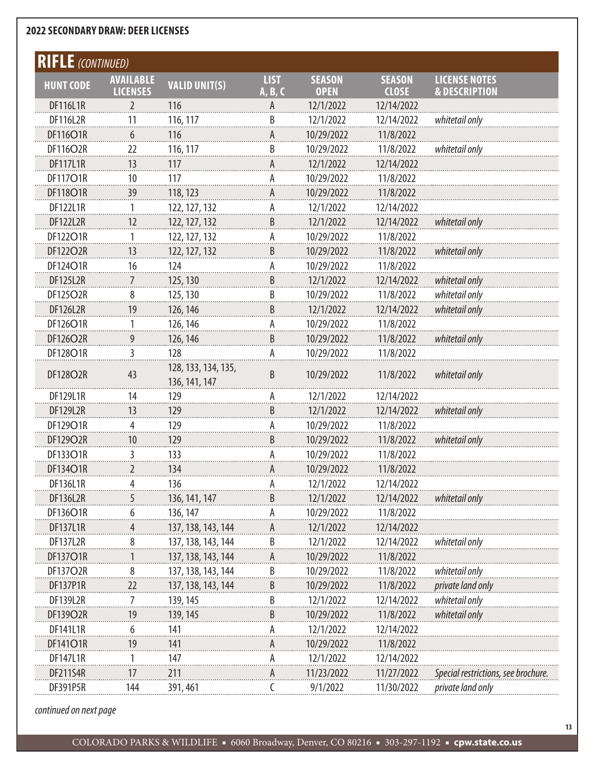| <b>RIFLE</b> (CONTINUED) |                  |                                      |                |               |               |                                     |
|--------------------------|------------------|--------------------------------------|----------------|---------------|---------------|-------------------------------------|
| <b>HUNT CODE</b>         | <b>AVAILABLE</b> | <b>VALID UNIT(S)</b>                 | <b>LIST</b>    | <b>SEASON</b> | <b>SEASON</b> | <b>LICENSE NOTES</b>                |
|                          | <b>LICENSES</b>  |                                      | A, B, C        | <b>OPEN</b>   | <b>CLOSE</b>  | <b>&amp; DESCRIPTION</b>            |
| <b>DF116L1R</b>          | 2                | 116                                  |                | 12/1/2022     | 12/14/2022    |                                     |
| <b>DF116L2R</b>          | 11               | 116, 117                             | B              | 12/1/2022     | 12/14/2022    | whitetail only                      |
| DF116O1R                 | 6                | 116                                  | А              | 10/29/2022    | 11/8/2022     |                                     |
| DF116O2R                 | 22               | 116, 117                             | B              | 10/29/2022    | 11/8/2022     | whitetail only                      |
| <b>DF117L1R</b>          | 13               | 117                                  |                | 12/1/2022     | 12/14/2022    |                                     |
| <b>DF117O1R</b>          | 10               | 117                                  | Α              | 10/29/2022    | 11/8/2022     |                                     |
| DF118O1R                 | 39               | 118, 123                             | А              | 10/29/2022    | 11/8/2022     |                                     |
| DF122L1R                 | 1                | 122, 127, 132                        | А              | 12/1/2022     | 12/14/2022    |                                     |
| DF122L2R                 | 12               | 122, 127, 132                        | $\overline{B}$ | 12/1/2022     | 12/14/2022    | whitetail only                      |
| DF122O1R                 | 1                | 122, 127, 132                        | А              | 10/29/2022    | 11/8/2022     |                                     |
| DF122O2R                 | 13               | 122, 127, 132                        | $\overline{B}$ | 10/29/2022    | 11/8/2022     | whitetail only                      |
| DF124O1R                 | 16               | 124                                  | А              | 10/29/2022    | 11/8/2022     |                                     |
| <b>DF125L2R</b>          |                  | 125, 130                             | $\overline{B}$ | 12/1/2022     | 12/14/2022    | whitetail only                      |
| DF125O2R                 | 8                | 125, 130                             | B              | 10/29/2022    | 11/8/2022     | whitetail only                      |
| <b>DF126L2R</b>          | 19               | 126, 146                             | B              | 12/1/2022     | 12/14/2022    | whitetail only                      |
| DF126O1R                 |                  | 126, 146                             | А              | 10/29/2022    | 11/8/2022     |                                     |
| DF126O2R                 | 9                | 126, 146                             | $\overline{B}$ | 10/29/2022    | 11/8/2022     | whitetail only                      |
| DF12801R                 | 3                | 128                                  | А              | 10/29/2022    | 11/8/2022     |                                     |
| DF128O2R                 | 43               | 128, 133, 134, 135,<br>136, 141, 147 | B              | 10/29/2022    | 11/8/2022     | whitetail only                      |
| DF129L1R                 | 14               | 129                                  | А              | 12/1/2022     | 12/14/2022    |                                     |
| <b>DF129L2R</b>          | 13               | 129                                  | B              | 12/1/2022     | 12/14/2022    | whitetail only                      |
| DF129O1R                 | 4                | 129                                  | А              | 10/29/2022    | 11/8/2022     |                                     |
| DF129O2R                 | 10               | 129                                  | B              | 10/29/2022    | 11/8/2022     | whitetail only                      |
| DF133O1R                 | 3                | 133                                  |                | 10/29/2022    | 11/8/2022     |                                     |
| DF134O1R                 | $\overline{2}$   | 134                                  | А              | 10/29/2022    | 11/8/2022     |                                     |
| DF136L1R                 | Δ                | 136                                  |                | 12/1/2022     | 12/14/2022    |                                     |
| DF136L2R                 | 5                | 136, 141, 147                        | B              | 12/1/2022     | 12/14/2022    | whitetail only                      |
| DF136O1R                 | 6                | 136, 147                             |                | 10/29/2022    | 11/8/2022     |                                     |
| <b>DF137L1R</b>          |                  | 137, 138, 143, 144                   |                | 12/1/2022     | 12/14/2022    |                                     |
| <b>DF137L2R</b>          | 8                | 137, 138, 143, 144                   | B              | 12/1/2022     | 12/14/2022    | whitetail only                      |
| DF137O1R                 |                  | 137, 138, 143, 144                   | А              | 10/29/2022    | 11/8/2022     |                                     |
| DF137O2R                 | 8                | 137, 138, 143, 144                   | B              | 10/29/2022    | 11/8/2022     | whitetail only                      |
| DF137P1R                 | 22               | 137, 138, 143, 144                   | В              | 10/29/2022    | 11/8/2022     | private land only                   |
| <b>DF139L2R</b>          |                  | 139, 145                             | B              | 12/1/2022     | 12/14/2022    | whitetail only                      |
| DF139O2R                 | 19               | 139, 145                             | B              | 10/29/2022    | 11/8/2022     | whitetail only                      |
| DF141L1R                 | 6                | 141                                  |                | 12/1/2022     | 12/14/2022    |                                     |
| DF14101R                 | 19               | 141                                  |                | 10/29/2022    | 11/8/2022     |                                     |
| DF147L1R                 |                  | 147                                  |                | 12/1/2022     | 12/14/2022    |                                     |
| <b>DF211S4R</b>          | 17               | 211                                  | А              | 11/23/2022    | 11/27/2022    | Special restrictions, see brochure. |
| <b>DF391P5R</b>          | 144              | 391, 461                             |                | 9/1/2022      | 11/30/2022    | private land only                   |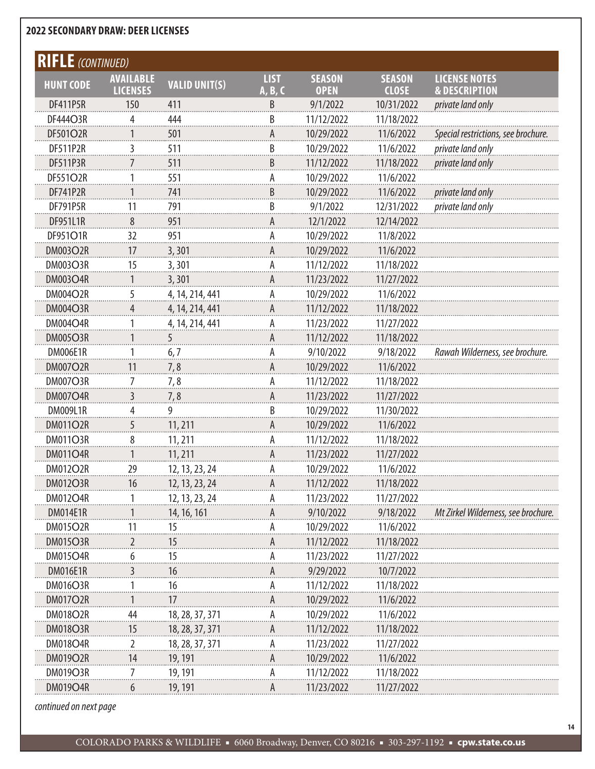| <b>RIFLE</b> (CONTINUED) |                                     |                      |                        |                              |                               |                                                  |
|--------------------------|-------------------------------------|----------------------|------------------------|------------------------------|-------------------------------|--------------------------------------------------|
| <b>HUNT CODE</b>         | <b>AVAILABLE</b><br><b>LICENSES</b> | <b>VALID UNIT(S)</b> | <b>LIST</b><br>A, B, C | <b>SEASON</b><br><b>OPEN</b> | <b>SEASON</b><br><b>CLOSE</b> | <b>LICENSE NOTES</b><br><b>&amp; DESCRIPTION</b> |
| <b>DF411P5R</b>          | 150                                 | 411                  | B                      | 9/1/2022                     | 10/31/2022                    | private land only                                |
| DF444O3R                 | 4                                   | 444                  | $\overline{B}$         | 11/12/2022                   | 11/18/2022                    |                                                  |
| DF501O2R                 | 1                                   | 501                  | Α                      | 10/29/2022                   | 11/6/2022                     | Special restrictions, see brochure.              |
| <b>DF511P2R</b>          | 3                                   | 511                  | $\overline{B}$         | 10/29/2022                   | 11/6/2022                     | private land only                                |
| <b>DF511P3R</b>          | 7                                   | 511                  | B                      | 11/12/2022                   | 11/18/2022                    | private land only                                |
| <b>DF551O2R</b>          |                                     | 551                  | А                      | 10/29/2022                   | 11/6/2022                     |                                                  |
| <b>DF741P2R</b>          | 1                                   | 741                  | B                      | 10/29/2022                   | 11/6/2022                     | <i>private land only</i>                         |
| <b>DF791P5R</b>          | 11                                  | 791                  | $\overline{B}$         | 9/1/2022                     | 12/31/2022                    | private land only                                |
| DF951L1R                 | 8                                   | 951                  | А                      | 12/1/2022                    | 12/14/2022                    |                                                  |
| DF951O1R                 | 32                                  | 951                  | А                      | 10/29/2022                   | 11/8/2022                     |                                                  |
| DM003O2R                 | 17                                  | 3,301                | А                      | 10/29/2022                   | 11/6/2022                     |                                                  |
| <b>DM003O3R</b>          | 15                                  | 3,301                | Ą                      | 11/12/2022                   | 11/18/2022                    |                                                  |
| <b>DM003O4R</b>          |                                     | 3,301                | Α                      | 11/23/2022                   | 11/27/2022                    |                                                  |
| <b>DM004O2R</b>          | 5                                   | 4, 14, 214, 441      | Ą                      | 10/29/2022                   | 11/6/2022                     |                                                  |
| <b>DM004O3R</b>          | 4                                   | 4, 14, 214, 441      | A                      | 11/12/2022                   | 11/18/2022                    |                                                  |
| <b>DM004O4R</b>          |                                     | 4, 14, 214, 441      | Ą                      | 11/23/2022                   | 11/27/2022                    |                                                  |
| <b>DM005O3R</b>          |                                     | 5                    | А                      | 11/12/2022                   | 11/18/2022                    |                                                  |
| DM006E1R                 |                                     | 6,7                  | Ą                      | 9/10/2022                    | 9/18/2022                     | Rawah Wilderness, see brochure.                  |
| <b>DM007O2R</b>          | 11                                  | 7,8                  | Α                      | 10/29/2022                   | 11/6/2022                     |                                                  |
| <b>DM007O3R</b>          | 7                                   | 7,8                  | А                      | 11/12/2022                   | 11/18/2022                    |                                                  |
| <b>DM007O4R</b>          | 3                                   | 7,8                  | Ą                      | 11/23/2022                   | 11/27/2022                    |                                                  |
| <b>DM009L1R</b>          | 4                                   | 9                    | $\overline{B}$         | 10/29/2022                   | 11/30/2022                    |                                                  |
| <b>DM011O2R</b>          | 5                                   | 11, 211              | А                      | 10/29/2022                   | 11/6/2022                     |                                                  |
| <b>DM011O3R</b>          | 8                                   | 11, 211              | А                      | 11/12/2022                   | 11/18/2022                    |                                                  |
| <b>DM011O4R</b>          |                                     | 11, 211              | A                      | 11/23/2022                   | 11/27/2022                    |                                                  |
| <b>DM012O2R</b>          | 29                                  | 12, 13, 23, 24       | Ą                      | 10/29/2022                   | 11/6/2022                     |                                                  |
| <b>DM012O3R</b>          | 16                                  | 12, 13, 23, 24       | A                      | 11/12/2022                   | 11/18/2022                    |                                                  |
| <b>DM012O4R</b>          |                                     | 12, 13, 23, 24       |                        | 11/23/2022                   | 11/27/2022                    |                                                  |
| <b>DM014E1R</b>          |                                     | 14, 16, 161          |                        | 9/10/2022                    | 9/18/2022                     | Mt Zirkel Wilderness, see brochure.              |
| <b>DM015O2R</b>          | 11                                  | 15                   |                        | 10/29/2022                   | 11/6/2022                     |                                                  |
| <b>DM015O3R</b>          |                                     | 15                   |                        | 11/12/2022                   | 11/18/2022                    |                                                  |
| <b>DM015O4R</b>          |                                     | 15                   |                        | 11/23/2022                   | 11/27/2022                    |                                                  |
| <b>DM016E1R</b>          | 3                                   | 16                   |                        | 9/29/2022                    | 10/7/2022                     |                                                  |
| <b>DM016O3R</b>          |                                     | 16                   |                        | 11/12/2022                   | 11/18/2022                    |                                                  |
| <b>DM017O2R</b>          |                                     | 17                   |                        | 10/29/2022                   | 11/6/2022                     |                                                  |
| <b>DM018O2R</b>          | 44                                  | 18, 28, 37, 371      | А                      | 10/29/2022                   | 11/6/2022                     |                                                  |
| <b>DM018O3R</b>          | 15                                  | 18, 28, 37, 371      | A                      | 11/12/2022                   | 11/18/2022                    |                                                  |
| <b>DM018O4R</b>          | 2                                   | 18, 28, 37, 371      |                        | 11/23/2022                   | 11/27/2022                    |                                                  |
| <b>DM019O2R</b>          | 14                                  | 19, 191              |                        | 10/29/2022                   | 11/6/2022                     |                                                  |
| <b>DM019O3R</b>          |                                     | 19, 191              |                        | 11/12/2022                   | 11/18/2022                    |                                                  |
| DM019O4R                 | 6                                   | 19, 191              | А                      | 11/23/2022                   | 11/27/2022                    |                                                  |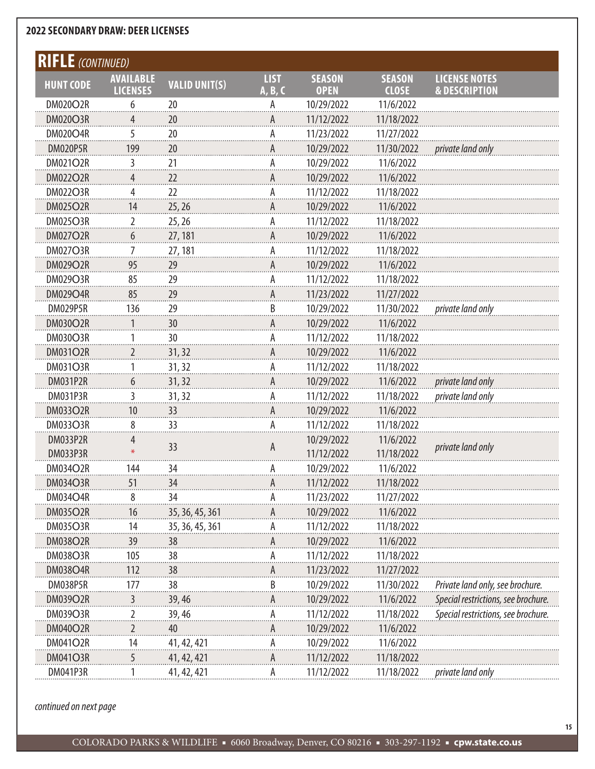| <b>RIFLE</b> (CONTINUED) |                  |                      |             |               |               |                                     |
|--------------------------|------------------|----------------------|-------------|---------------|---------------|-------------------------------------|
| <b>HUNT CODE</b>         | <b>AVAILABLE</b> | <b>VALID UNIT(S)</b> | <b>LIST</b> | <b>SEASON</b> | <b>SEASON</b> | <b>LICENSE NOTES</b>                |
|                          | <b>LICENSES</b>  |                      | A, B, C     | <b>OPEN</b>   | <b>CLOSE</b>  | <b>&amp; DESCRIPTION</b>            |
| <b>DM020O2R</b>          | 6                | 20                   |             | 10/29/2022    | 11/6/2022     |                                     |
| <b>DM020O3R</b>          | 4                | 20                   | А           | 11/12/2022    | 11/18/2022    |                                     |
| <b>DM020O4R</b>          | 5                | 20                   | А           | 11/23/2022    | 11/27/2022    |                                     |
| DM020P5R                 | 199              | 20                   | Α           | 10/29/2022    | 11/30/2022    | private land only                   |
| <b>DM021O2R</b>          | 3                | 21                   | А           | 10/29/2022    | 11/6/2022     |                                     |
| <b>DM022O2R</b>          | 4                | 22                   | Α           | 10/29/2022    | 11/6/2022     |                                     |
| <b>DM022O3R</b>          | 4                | 22                   | А           | 11/12/2022    | 11/18/2022    |                                     |
| <b>DM025O2R</b>          | 14               | 25, 26               | Α           | 10/29/2022    | 11/6/2022     |                                     |
| <b>DM025O3R</b>          | 2                | 25, 26               | А           | 11/12/2022    | 11/18/2022    |                                     |
| <b>DM027O2R</b>          | 6                | 27, 181              | А           | 10/29/2022    | 11/6/2022     |                                     |
| <b>DM027O3R</b>          | 7                | 27, 181              | А           | 11/12/2022    | 11/18/2022    |                                     |
| <b>DM029O2R</b>          | 95               | 29                   | А           | 10/29/2022    | 11/6/2022     |                                     |
| <b>DM029O3R</b>          | 85               | 29                   | А           | 11/12/2022    | 11/18/2022    |                                     |
| <b>DM029O4R</b>          | 85               | 29                   | А           | 11/23/2022    | 11/27/2022    |                                     |
| <b>DM029P5R</b>          | 136              | 29                   | B           | 10/29/2022    | 11/30/2022    | private land only                   |
| <b>DM030O2R</b>          | 1                | 30                   | А           | 10/29/2022    | 11/6/2022     |                                     |
| <b>DM030O3R</b>          |                  | 30                   | А           | 11/12/2022    | 11/18/2022    |                                     |
| <b>DM031O2R</b>          | 2                | 31, 32               | А           | 10/29/2022    | 11/6/2022     |                                     |
| <b>DM031O3R</b>          |                  | 31, 32               | А           | 11/12/2022    | 11/18/2022    |                                     |
| DM031P2R                 | 6                | 31, 32               | А           | 10/29/2022    | 11/6/2022     | private land only                   |
| <b>DM031P3R</b>          | 3                | 31, 32               | А           | 11/12/2022    | 11/18/2022    | private land only                   |
| <b>DM033O2R</b>          | 10               | 33                   | А           | 10/29/2022    | 11/6/2022     |                                     |
| <b>DM033O3R</b>          | 8                | 33                   | Α           | 11/12/2022    | 11/18/2022    |                                     |
| <b>DM033P2R</b>          | 4                |                      |             | 10/29/2022    | 11/6/2022     |                                     |
| <b>DM033P3R</b>          |                  | 33                   | А           | 11/12/2022    | 11/18/2022    | private land only                   |
| <b>DM034O2R</b>          | 144              | 34                   | А           | 10/29/2022    | 11/6/2022     |                                     |
| <b>DM034O3R</b>          | 51               | 34                   |             | 11/12/2022    | 11/18/2022    |                                     |
| <b>DM034O4R</b>          | 8                | 34                   | А           | 11/23/2022    | 11/27/2022    |                                     |
| <b>DM035O2R</b>          | 16               | 35, 36, 45, 361      | А           | 10/29/2022    | 11/6/2022     |                                     |
| <b>DM035O3R</b>          | 14               | 35, 36, 45, 361      | А           | 11/12/2022    | 11/18/2022    |                                     |
| <b>DM038O2R</b>          | 39               | 38                   |             | 10/29/2022    | 11/6/2022     |                                     |
| <b>DM038O3R</b>          | 105              | 38                   | А           | 11/12/2022    | 11/18/2022    |                                     |
| <b>DM038O4R</b>          | 112              | 38                   | А           | 11/23/2022    | 11/27/2022    |                                     |
|                          |                  |                      |             |               |               |                                     |
| DM038P5R                 | 177              | 38                   | B           | 10/29/2022    | 11/30/2022    | Private land only, see brochure.    |
| <b>DM039O2R</b>          | 3                | 39,46                | А           | 10/29/2022    | 11/6/2022     | Special restrictions, see brochure. |
| <b>DM039O3R</b>          | 2                | 39, 46               | А           | 11/12/2022    | 11/18/2022    | Special restrictions, see brochure. |
| <b>DM040O2R</b>          | 2                | 40                   | А           | 10/29/2022    | 11/6/2022     |                                     |
| <b>DM041O2R</b>          | 14               | 41, 42, 421          | А           | 10/29/2022    | 11/6/2022     |                                     |
| <b>DM041O3R</b>          | 5                | 41, 42, 421          | А           | 11/12/2022    | 11/18/2022    |                                     |
| <b>DM041P3R</b>          |                  | 41, 42, 421          | А           | 11/12/2022    | 11/18/2022    | private land only                   |

*continued on next page*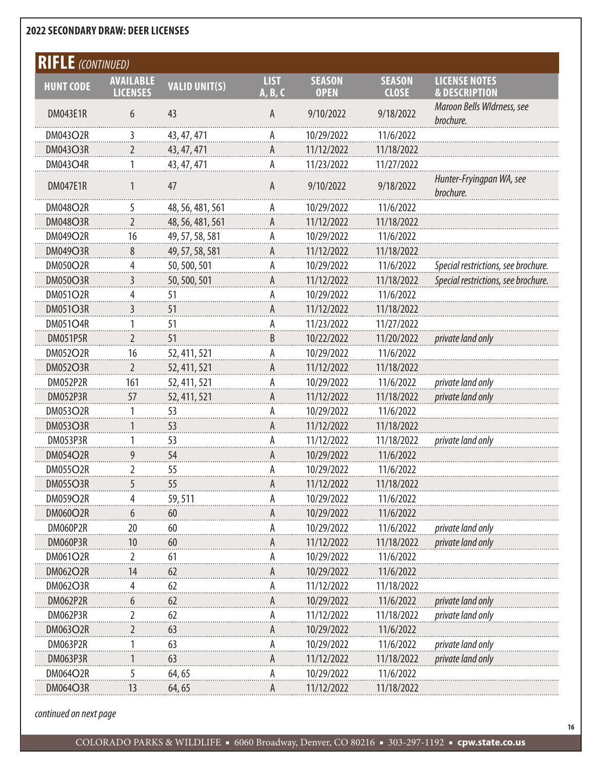| <b>RIFLE</b> (CONTINUED) |                                     |                      |                        |                              |                               |                                                  |
|--------------------------|-------------------------------------|----------------------|------------------------|------------------------------|-------------------------------|--------------------------------------------------|
| <b>HUNT CODE</b>         | <b>AVAILABLE</b><br><b>LICENSES</b> | <b>VALID UNIT(S)</b> | <b>LIST</b><br>A, B, C | <b>SEASON</b><br><b>OPEN</b> | <b>SEASON</b><br><b>CLOSE</b> | <b>LICENSE NOTES</b><br><b>&amp; DESCRIPTION</b> |
| <b>DM043E1R</b>          | 6                                   | 43                   | A                      | 9/10/2022                    | 9/18/2022                     | Maroon Bells Wldrness, see<br>brochure.          |
| <b>DM043O2R</b>          | 3                                   | 43, 47, 471          | А                      | 10/29/2022                   | 11/6/2022                     |                                                  |
| <b>DM043O3R</b>          | 2                                   | 43, 47, 471          | A                      | 11/12/2022                   | 11/18/2022                    |                                                  |
| <b>DM043O4R</b>          | 1                                   | 43, 47, 471          | А                      | 11/23/2022                   | 11/27/2022                    |                                                  |
| <b>DM047E1R</b>          |                                     | 47                   | A                      | 9/10/2022                    | 9/18/2022                     | Hunter-Fryingpan WA, see<br>brochure.            |
| <b>DM048O2R</b>          | 5                                   | 48, 56, 481, 561     | А                      | 10/29/2022                   | 11/6/2022                     |                                                  |
| <b>DM048O3R</b>          | 2                                   | 48, 56, 481, 561     | А                      | 11/12/2022                   | 11/18/2022                    |                                                  |
| <b>DM049O2R</b>          | 16                                  | 49, 57, 58, 581      | А                      | 10/29/2022                   | 11/6/2022                     |                                                  |
| <b>DM049O3R</b>          | 8                                   | 49, 57, 58, 581      | А                      | 11/12/2022                   | 11/18/2022                    |                                                  |
| <b>DM050O2R</b>          | 4                                   | 50, 500, 501         | А                      | 10/29/2022                   | 11/6/2022                     | Special restrictions, see brochure.              |
| <b>DM050O3R</b>          | 3                                   | 50, 500, 501         | А                      | 11/12/2022                   | 11/18/2022                    | Special restrictions, see brochure.              |
| <b>DM051O2R</b>          | 4                                   | 51                   | А                      | 10/29/2022                   | 11/6/2022                     |                                                  |
| <b>DM051O3R</b>          | 3                                   | 51                   | А                      | 11/12/2022                   | 11/18/2022                    |                                                  |
| <b>DM051O4R</b>          |                                     | 51                   | А                      | 11/23/2022                   | 11/27/2022                    |                                                  |
| <b>DM051P5R</b>          | 2                                   | 51                   | B                      | 10/22/2022                   | 11/20/2022                    | private land only                                |
| <b>DM052O2R</b>          | 16                                  | 52, 411, 521         | А                      | 10/29/2022                   | 11/6/2022                     |                                                  |
| <b>DM052O3R</b>          | 2                                   | 52, 411, 521         | А                      | 11/12/2022                   | 11/18/2022                    |                                                  |
| <b>DM052P2R</b>          | 161                                 | 52, 411, 521         | А                      | 10/29/2022                   | 11/6/2022                     | private land only                                |
| <b>DM052P3R</b>          | 57                                  | 52, 411, 521         | А                      | 11/12/2022                   | 11/18/2022                    | private land only                                |
| <b>DM053O2R</b>          |                                     | $\frac{53}{11}$      | А                      | 10/29/2022                   | 11/6/2022                     |                                                  |
| <b>DM053O3R</b>          | 1                                   | 53                   | А                      | 11/12/2022                   | 11/18/2022                    |                                                  |
| DM053P3R                 |                                     | 53                   | А                      | 11/12/2022                   | 11/18/2022                    | private land only                                |
| <b>DM054O2R</b>          | 9                                   | 54                   | А                      | 10/29/2022                   | 11/6/2022                     |                                                  |
| <b>DM055O2R</b>          | 2                                   | 55                   | А                      | 10/29/2022                   | 11/6/2022                     |                                                  |
| DM05503R                 |                                     | 55                   |                        | 11/12/2022                   | 11/18/2022                    |                                                  |
| DM059O2R                 |                                     | 59,511               | А                      | 10/29/2022                   | 11/6/2022                     |                                                  |
| <b>DM060O2R</b>          | 6                                   | 60                   | A                      | 10/29/2022                   | 11/6/2022                     |                                                  |
| DM060P2R                 | 20                                  | 60                   | А                      | 10/29/2022                   | 11/6/2022                     | private land only                                |
| DM060P3R                 | 10                                  | 60                   | A                      | 11/12/2022                   | 11/18/2022                    | private land only                                |
| DM061O2R                 | 2                                   | 61                   | А                      | 10/29/2022                   | 11/6/2022                     |                                                  |
| <b>DM062O2R</b>          | 14                                  | 62                   | A                      | 10/29/2022                   | 11/6/2022                     |                                                  |
| <b>DM062O3R</b>          |                                     | 62                   | А                      | 11/12/2022                   | 11/18/2022                    |                                                  |
| <b>DM062P2R</b>          | 6                                   | 62                   | A                      | 10/29/2022                   | 11/6/2022                     | private land only                                |
| DM062P3R                 | 2                                   | 62                   | Α                      | 11/12/2022                   | 11/18/2022                    | private land only                                |
| <b>DM063O2R</b>          | 2                                   | 63                   | A                      | 10/29/2022                   | 11/6/2022                     |                                                  |
| DM063P2R                 |                                     | 63                   | А                      | 10/29/2022                   | 11/6/2022                     | private land only                                |
| <b>DM063P3R</b>          |                                     | 63                   | A                      | 11/12/2022                   | 11/18/2022                    | private land only                                |
| <b>DM064O2R</b>          | 5                                   | 64,65                | А                      | 10/29/2022                   | 11/6/2022                     |                                                  |
| DM064O3R                 | 13                                  | 64,65                | Α                      | 11/12/2022                   | 11/18/2022                    |                                                  |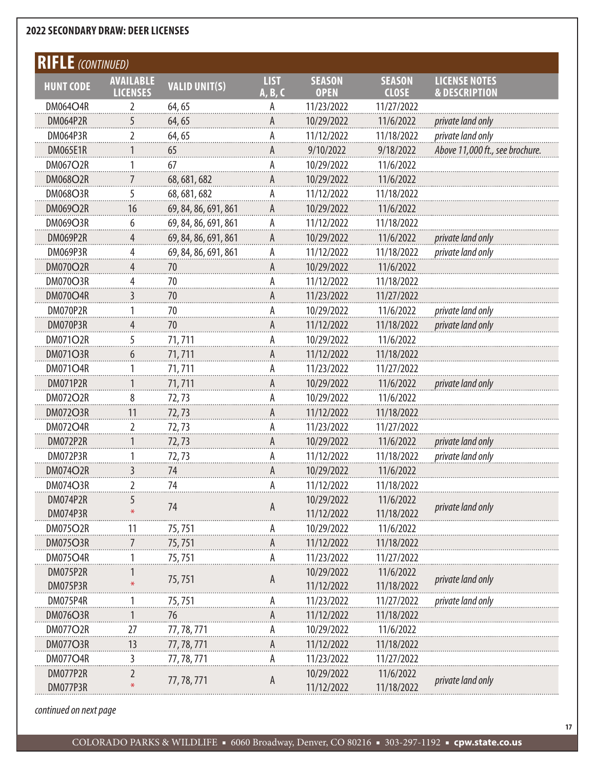| <b>LICENSE NOTES</b><br><b>LIST</b><br><b>SEASON</b><br><b>SEASON</b><br><b>AVAILABLE</b><br><b>VALID UNIT(S)</b><br><b>HUNT CODE</b><br><b>LICENSES</b><br>A, B, C<br><b>OPEN</b><br><b>CLOSE</b><br><b>&amp; DESCRIPTION</b><br><b>DM064O4R</b><br>64,65<br>11/23/2022<br>11/27/2022<br>2<br>Α<br><b>DM064P2R</b><br>10/29/2022<br>11/6/2022<br>5<br>64,65<br>private land only<br>private land only<br>2<br>11/12/2022<br>11/18/2022<br>DM064P3R<br>А<br>64, 65<br>9/10/2022<br><b>DM065E1R</b><br>9/18/2022<br>Above 11,000 ft., see brochure.<br>65<br>А<br>67<br>10/29/2022<br><b>DM067O2R</b><br>11/6/2022<br>1<br>Α<br>10/29/2022<br><b>DM068O2R</b><br>11/6/2022<br>68, 681, 682<br>А<br>11/12/2022<br>11/18/2022<br><b>DM068O3R</b><br>5<br>68, 681, 682<br>Α<br>10/29/2022<br><b>DM069O2R</b><br>16<br>69, 84, 86, 691, 861<br>11/6/2022<br>А<br>69, 84, 86, 691, 861<br>11/12/2022<br>11/18/2022<br><b>DM069O3R</b><br>6<br>А<br><b>DM069P2R</b><br>10/29/2022<br>11/6/2022<br>69, 84, 86, 691, 861<br>private land only<br>4<br>А<br>11/12/2022<br>11/18/2022<br>DM069P3R<br>69, 84, 86, 691, 861<br>private land only<br>4<br>Α<br>10/29/2022<br><b>DM070O2R</b><br>11/6/2022<br>Δ<br>70<br>DM070O3R<br>4<br>70<br>А<br>11/12/2022<br>11/18/2022<br>11/23/2022<br>11/27/2022<br><b>DM070O4R</b><br>3<br>70<br>А<br>10/29/2022<br>private land only<br>DM070P2R<br>70<br>А<br>11/6/2022<br>1<br>11/12/2022<br>11/18/2022<br>DM070P3R<br>4<br>70<br>private land only<br>А<br>5<br><b>DM071O2R</b><br>71,711<br>А<br>10/29/2022<br>11/6/2022<br><b>DM071O3R</b><br>11/12/2022<br>11/18/2022<br>71,711<br>6<br>А<br>11/23/2022<br><b>DM071O4R</b><br>11/27/2022<br>71,711<br>А<br>1<br>10/29/2022<br><b>DM071P2R</b><br>71,711<br>11/6/2022<br>private land only<br>А<br>8<br>10/29/2022<br><b>DM072O2R</b><br>11/6/2022<br>72,73<br>А<br><b>DM072O3R</b><br>11/12/2022<br>11<br>11/18/2022<br>72,73<br>А<br><b>DM072O4R</b><br>2<br>А<br>11/23/2022<br>11/27/2022<br>72,73<br>10/29/2022<br><b>DM072P2R</b><br>11/6/2022<br>72,73<br>private land only<br>А<br>DM072P3R<br>11/12/2022<br>11/18/2022<br>private land only<br>72,73<br>А<br>3<br>10/29/2022<br>11/6/2022<br><b>DM074O2R</b><br>74<br>А<br>DM074O3R<br>2<br>74<br>А<br>11/12/2022<br>11/18/2022<br>DM074P2R<br>10/29/2022<br>11/6/2022<br>74<br>private land only<br>A<br>11/12/2022<br>11/18/2022<br>DM074P3R<br><b>DM075O2R</b><br>10/29/2022<br>11/6/2022<br>75,751<br>11<br><b>DM075O3R</b><br>11/12/2022<br>11/18/2022<br>7<br>75, 751<br>А<br>11/23/2022<br>11/27/2022<br><b>DM075O4R</b><br>75,751<br>А<br><b>DM075P2R</b><br>10/29/2022<br>11/6/2022<br>75,751<br>private land only<br>A<br>11/12/2022<br>11/18/2022<br><b>DM075P3R</b><br>DM075P4R<br>75,751<br>11/23/2022<br>11/27/2022<br>private land only<br>А<br>11/12/2022<br><b>DM076O3R</b><br>76<br>11/18/2022<br>77, 78, 771<br>27<br>10/29/2022<br><b>DM077O2R</b><br>11/6/2022<br>А<br><b>DM077O3R</b><br>13<br>77, 78, 771<br>11/12/2022<br>11/18/2022<br>А<br><b>DM077O4R</b><br>11/23/2022<br>11/27/2022<br>77, 78, 771<br>3<br>А<br>DM077P2R<br>10/29/2022<br>11/6/2022 | <b>FLE</b> (CONTINUED) |             |   |  |                   |
|---------------------------------------------------------------------------------------------------------------------------------------------------------------------------------------------------------------------------------------------------------------------------------------------------------------------------------------------------------------------------------------------------------------------------------------------------------------------------------------------------------------------------------------------------------------------------------------------------------------------------------------------------------------------------------------------------------------------------------------------------------------------------------------------------------------------------------------------------------------------------------------------------------------------------------------------------------------------------------------------------------------------------------------------------------------------------------------------------------------------------------------------------------------------------------------------------------------------------------------------------------------------------------------------------------------------------------------------------------------------------------------------------------------------------------------------------------------------------------------------------------------------------------------------------------------------------------------------------------------------------------------------------------------------------------------------------------------------------------------------------------------------------------------------------------------------------------------------------------------------------------------------------------------------------------------------------------------------------------------------------------------------------------------------------------------------------------------------------------------------------------------------------------------------------------------------------------------------------------------------------------------------------------------------------------------------------------------------------------------------------------------------------------------------------------------------------------------------------------------------------------------------------------------------------------------------------------------------------------------------------------------------------------------------------------------------------------------------------------------------------------------------------------------------------------------------------------------------------------------------------------------------------------------------------------------------------------------------------------------------------------------------------------------------------------------------------------------------------------------------------|------------------------|-------------|---|--|-------------------|
|                                                                                                                                                                                                                                                                                                                                                                                                                                                                                                                                                                                                                                                                                                                                                                                                                                                                                                                                                                                                                                                                                                                                                                                                                                                                                                                                                                                                                                                                                                                                                                                                                                                                                                                                                                                                                                                                                                                                                                                                                                                                                                                                                                                                                                                                                                                                                                                                                                                                                                                                                                                                                                                                                                                                                                                                                                                                                                                                                                                                                                                                                                                           |                        |             |   |  |                   |
|                                                                                                                                                                                                                                                                                                                                                                                                                                                                                                                                                                                                                                                                                                                                                                                                                                                                                                                                                                                                                                                                                                                                                                                                                                                                                                                                                                                                                                                                                                                                                                                                                                                                                                                                                                                                                                                                                                                                                                                                                                                                                                                                                                                                                                                                                                                                                                                                                                                                                                                                                                                                                                                                                                                                                                                                                                                                                                                                                                                                                                                                                                                           |                        |             |   |  |                   |
|                                                                                                                                                                                                                                                                                                                                                                                                                                                                                                                                                                                                                                                                                                                                                                                                                                                                                                                                                                                                                                                                                                                                                                                                                                                                                                                                                                                                                                                                                                                                                                                                                                                                                                                                                                                                                                                                                                                                                                                                                                                                                                                                                                                                                                                                                                                                                                                                                                                                                                                                                                                                                                                                                                                                                                                                                                                                                                                                                                                                                                                                                                                           |                        |             |   |  |                   |
|                                                                                                                                                                                                                                                                                                                                                                                                                                                                                                                                                                                                                                                                                                                                                                                                                                                                                                                                                                                                                                                                                                                                                                                                                                                                                                                                                                                                                                                                                                                                                                                                                                                                                                                                                                                                                                                                                                                                                                                                                                                                                                                                                                                                                                                                                                                                                                                                                                                                                                                                                                                                                                                                                                                                                                                                                                                                                                                                                                                                                                                                                                                           |                        |             |   |  |                   |
|                                                                                                                                                                                                                                                                                                                                                                                                                                                                                                                                                                                                                                                                                                                                                                                                                                                                                                                                                                                                                                                                                                                                                                                                                                                                                                                                                                                                                                                                                                                                                                                                                                                                                                                                                                                                                                                                                                                                                                                                                                                                                                                                                                                                                                                                                                                                                                                                                                                                                                                                                                                                                                                                                                                                                                                                                                                                                                                                                                                                                                                                                                                           |                        |             |   |  |                   |
|                                                                                                                                                                                                                                                                                                                                                                                                                                                                                                                                                                                                                                                                                                                                                                                                                                                                                                                                                                                                                                                                                                                                                                                                                                                                                                                                                                                                                                                                                                                                                                                                                                                                                                                                                                                                                                                                                                                                                                                                                                                                                                                                                                                                                                                                                                                                                                                                                                                                                                                                                                                                                                                                                                                                                                                                                                                                                                                                                                                                                                                                                                                           |                        |             |   |  |                   |
|                                                                                                                                                                                                                                                                                                                                                                                                                                                                                                                                                                                                                                                                                                                                                                                                                                                                                                                                                                                                                                                                                                                                                                                                                                                                                                                                                                                                                                                                                                                                                                                                                                                                                                                                                                                                                                                                                                                                                                                                                                                                                                                                                                                                                                                                                                                                                                                                                                                                                                                                                                                                                                                                                                                                                                                                                                                                                                                                                                                                                                                                                                                           |                        |             |   |  |                   |
|                                                                                                                                                                                                                                                                                                                                                                                                                                                                                                                                                                                                                                                                                                                                                                                                                                                                                                                                                                                                                                                                                                                                                                                                                                                                                                                                                                                                                                                                                                                                                                                                                                                                                                                                                                                                                                                                                                                                                                                                                                                                                                                                                                                                                                                                                                                                                                                                                                                                                                                                                                                                                                                                                                                                                                                                                                                                                                                                                                                                                                                                                                                           |                        |             |   |  |                   |
|                                                                                                                                                                                                                                                                                                                                                                                                                                                                                                                                                                                                                                                                                                                                                                                                                                                                                                                                                                                                                                                                                                                                                                                                                                                                                                                                                                                                                                                                                                                                                                                                                                                                                                                                                                                                                                                                                                                                                                                                                                                                                                                                                                                                                                                                                                                                                                                                                                                                                                                                                                                                                                                                                                                                                                                                                                                                                                                                                                                                                                                                                                                           |                        |             |   |  |                   |
|                                                                                                                                                                                                                                                                                                                                                                                                                                                                                                                                                                                                                                                                                                                                                                                                                                                                                                                                                                                                                                                                                                                                                                                                                                                                                                                                                                                                                                                                                                                                                                                                                                                                                                                                                                                                                                                                                                                                                                                                                                                                                                                                                                                                                                                                                                                                                                                                                                                                                                                                                                                                                                                                                                                                                                                                                                                                                                                                                                                                                                                                                                                           |                        |             |   |  |                   |
|                                                                                                                                                                                                                                                                                                                                                                                                                                                                                                                                                                                                                                                                                                                                                                                                                                                                                                                                                                                                                                                                                                                                                                                                                                                                                                                                                                                                                                                                                                                                                                                                                                                                                                                                                                                                                                                                                                                                                                                                                                                                                                                                                                                                                                                                                                                                                                                                                                                                                                                                                                                                                                                                                                                                                                                                                                                                                                                                                                                                                                                                                                                           |                        |             |   |  |                   |
|                                                                                                                                                                                                                                                                                                                                                                                                                                                                                                                                                                                                                                                                                                                                                                                                                                                                                                                                                                                                                                                                                                                                                                                                                                                                                                                                                                                                                                                                                                                                                                                                                                                                                                                                                                                                                                                                                                                                                                                                                                                                                                                                                                                                                                                                                                                                                                                                                                                                                                                                                                                                                                                                                                                                                                                                                                                                                                                                                                                                                                                                                                                           |                        |             |   |  |                   |
|                                                                                                                                                                                                                                                                                                                                                                                                                                                                                                                                                                                                                                                                                                                                                                                                                                                                                                                                                                                                                                                                                                                                                                                                                                                                                                                                                                                                                                                                                                                                                                                                                                                                                                                                                                                                                                                                                                                                                                                                                                                                                                                                                                                                                                                                                                                                                                                                                                                                                                                                                                                                                                                                                                                                                                                                                                                                                                                                                                                                                                                                                                                           |                        |             |   |  |                   |
|                                                                                                                                                                                                                                                                                                                                                                                                                                                                                                                                                                                                                                                                                                                                                                                                                                                                                                                                                                                                                                                                                                                                                                                                                                                                                                                                                                                                                                                                                                                                                                                                                                                                                                                                                                                                                                                                                                                                                                                                                                                                                                                                                                                                                                                                                                                                                                                                                                                                                                                                                                                                                                                                                                                                                                                                                                                                                                                                                                                                                                                                                                                           |                        |             |   |  |                   |
|                                                                                                                                                                                                                                                                                                                                                                                                                                                                                                                                                                                                                                                                                                                                                                                                                                                                                                                                                                                                                                                                                                                                                                                                                                                                                                                                                                                                                                                                                                                                                                                                                                                                                                                                                                                                                                                                                                                                                                                                                                                                                                                                                                                                                                                                                                                                                                                                                                                                                                                                                                                                                                                                                                                                                                                                                                                                                                                                                                                                                                                                                                                           |                        |             |   |  |                   |
|                                                                                                                                                                                                                                                                                                                                                                                                                                                                                                                                                                                                                                                                                                                                                                                                                                                                                                                                                                                                                                                                                                                                                                                                                                                                                                                                                                                                                                                                                                                                                                                                                                                                                                                                                                                                                                                                                                                                                                                                                                                                                                                                                                                                                                                                                                                                                                                                                                                                                                                                                                                                                                                                                                                                                                                                                                                                                                                                                                                                                                                                                                                           |                        |             |   |  |                   |
|                                                                                                                                                                                                                                                                                                                                                                                                                                                                                                                                                                                                                                                                                                                                                                                                                                                                                                                                                                                                                                                                                                                                                                                                                                                                                                                                                                                                                                                                                                                                                                                                                                                                                                                                                                                                                                                                                                                                                                                                                                                                                                                                                                                                                                                                                                                                                                                                                                                                                                                                                                                                                                                                                                                                                                                                                                                                                                                                                                                                                                                                                                                           |                        |             |   |  |                   |
|                                                                                                                                                                                                                                                                                                                                                                                                                                                                                                                                                                                                                                                                                                                                                                                                                                                                                                                                                                                                                                                                                                                                                                                                                                                                                                                                                                                                                                                                                                                                                                                                                                                                                                                                                                                                                                                                                                                                                                                                                                                                                                                                                                                                                                                                                                                                                                                                                                                                                                                                                                                                                                                                                                                                                                                                                                                                                                                                                                                                                                                                                                                           |                        |             |   |  |                   |
|                                                                                                                                                                                                                                                                                                                                                                                                                                                                                                                                                                                                                                                                                                                                                                                                                                                                                                                                                                                                                                                                                                                                                                                                                                                                                                                                                                                                                                                                                                                                                                                                                                                                                                                                                                                                                                                                                                                                                                                                                                                                                                                                                                                                                                                                                                                                                                                                                                                                                                                                                                                                                                                                                                                                                                                                                                                                                                                                                                                                                                                                                                                           |                        |             |   |  |                   |
|                                                                                                                                                                                                                                                                                                                                                                                                                                                                                                                                                                                                                                                                                                                                                                                                                                                                                                                                                                                                                                                                                                                                                                                                                                                                                                                                                                                                                                                                                                                                                                                                                                                                                                                                                                                                                                                                                                                                                                                                                                                                                                                                                                                                                                                                                                                                                                                                                                                                                                                                                                                                                                                                                                                                                                                                                                                                                                                                                                                                                                                                                                                           |                        |             |   |  |                   |
|                                                                                                                                                                                                                                                                                                                                                                                                                                                                                                                                                                                                                                                                                                                                                                                                                                                                                                                                                                                                                                                                                                                                                                                                                                                                                                                                                                                                                                                                                                                                                                                                                                                                                                                                                                                                                                                                                                                                                                                                                                                                                                                                                                                                                                                                                                                                                                                                                                                                                                                                                                                                                                                                                                                                                                                                                                                                                                                                                                                                                                                                                                                           |                        |             |   |  |                   |
|                                                                                                                                                                                                                                                                                                                                                                                                                                                                                                                                                                                                                                                                                                                                                                                                                                                                                                                                                                                                                                                                                                                                                                                                                                                                                                                                                                                                                                                                                                                                                                                                                                                                                                                                                                                                                                                                                                                                                                                                                                                                                                                                                                                                                                                                                                                                                                                                                                                                                                                                                                                                                                                                                                                                                                                                                                                                                                                                                                                                                                                                                                                           |                        |             |   |  |                   |
|                                                                                                                                                                                                                                                                                                                                                                                                                                                                                                                                                                                                                                                                                                                                                                                                                                                                                                                                                                                                                                                                                                                                                                                                                                                                                                                                                                                                                                                                                                                                                                                                                                                                                                                                                                                                                                                                                                                                                                                                                                                                                                                                                                                                                                                                                                                                                                                                                                                                                                                                                                                                                                                                                                                                                                                                                                                                                                                                                                                                                                                                                                                           |                        |             |   |  |                   |
|                                                                                                                                                                                                                                                                                                                                                                                                                                                                                                                                                                                                                                                                                                                                                                                                                                                                                                                                                                                                                                                                                                                                                                                                                                                                                                                                                                                                                                                                                                                                                                                                                                                                                                                                                                                                                                                                                                                                                                                                                                                                                                                                                                                                                                                                                                                                                                                                                                                                                                                                                                                                                                                                                                                                                                                                                                                                                                                                                                                                                                                                                                                           |                        |             |   |  |                   |
|                                                                                                                                                                                                                                                                                                                                                                                                                                                                                                                                                                                                                                                                                                                                                                                                                                                                                                                                                                                                                                                                                                                                                                                                                                                                                                                                                                                                                                                                                                                                                                                                                                                                                                                                                                                                                                                                                                                                                                                                                                                                                                                                                                                                                                                                                                                                                                                                                                                                                                                                                                                                                                                                                                                                                                                                                                                                                                                                                                                                                                                                                                                           |                        |             |   |  |                   |
|                                                                                                                                                                                                                                                                                                                                                                                                                                                                                                                                                                                                                                                                                                                                                                                                                                                                                                                                                                                                                                                                                                                                                                                                                                                                                                                                                                                                                                                                                                                                                                                                                                                                                                                                                                                                                                                                                                                                                                                                                                                                                                                                                                                                                                                                                                                                                                                                                                                                                                                                                                                                                                                                                                                                                                                                                                                                                                                                                                                                                                                                                                                           |                        |             |   |  |                   |
|                                                                                                                                                                                                                                                                                                                                                                                                                                                                                                                                                                                                                                                                                                                                                                                                                                                                                                                                                                                                                                                                                                                                                                                                                                                                                                                                                                                                                                                                                                                                                                                                                                                                                                                                                                                                                                                                                                                                                                                                                                                                                                                                                                                                                                                                                                                                                                                                                                                                                                                                                                                                                                                                                                                                                                                                                                                                                                                                                                                                                                                                                                                           |                        |             |   |  |                   |
|                                                                                                                                                                                                                                                                                                                                                                                                                                                                                                                                                                                                                                                                                                                                                                                                                                                                                                                                                                                                                                                                                                                                                                                                                                                                                                                                                                                                                                                                                                                                                                                                                                                                                                                                                                                                                                                                                                                                                                                                                                                                                                                                                                                                                                                                                                                                                                                                                                                                                                                                                                                                                                                                                                                                                                                                                                                                                                                                                                                                                                                                                                                           |                        |             |   |  |                   |
|                                                                                                                                                                                                                                                                                                                                                                                                                                                                                                                                                                                                                                                                                                                                                                                                                                                                                                                                                                                                                                                                                                                                                                                                                                                                                                                                                                                                                                                                                                                                                                                                                                                                                                                                                                                                                                                                                                                                                                                                                                                                                                                                                                                                                                                                                                                                                                                                                                                                                                                                                                                                                                                                                                                                                                                                                                                                                                                                                                                                                                                                                                                           |                        |             |   |  |                   |
|                                                                                                                                                                                                                                                                                                                                                                                                                                                                                                                                                                                                                                                                                                                                                                                                                                                                                                                                                                                                                                                                                                                                                                                                                                                                                                                                                                                                                                                                                                                                                                                                                                                                                                                                                                                                                                                                                                                                                                                                                                                                                                                                                                                                                                                                                                                                                                                                                                                                                                                                                                                                                                                                                                                                                                                                                                                                                                                                                                                                                                                                                                                           |                        |             |   |  |                   |
|                                                                                                                                                                                                                                                                                                                                                                                                                                                                                                                                                                                                                                                                                                                                                                                                                                                                                                                                                                                                                                                                                                                                                                                                                                                                                                                                                                                                                                                                                                                                                                                                                                                                                                                                                                                                                                                                                                                                                                                                                                                                                                                                                                                                                                                                                                                                                                                                                                                                                                                                                                                                                                                                                                                                                                                                                                                                                                                                                                                                                                                                                                                           |                        |             |   |  |                   |
|                                                                                                                                                                                                                                                                                                                                                                                                                                                                                                                                                                                                                                                                                                                                                                                                                                                                                                                                                                                                                                                                                                                                                                                                                                                                                                                                                                                                                                                                                                                                                                                                                                                                                                                                                                                                                                                                                                                                                                                                                                                                                                                                                                                                                                                                                                                                                                                                                                                                                                                                                                                                                                                                                                                                                                                                                                                                                                                                                                                                                                                                                                                           |                        |             |   |  |                   |
|                                                                                                                                                                                                                                                                                                                                                                                                                                                                                                                                                                                                                                                                                                                                                                                                                                                                                                                                                                                                                                                                                                                                                                                                                                                                                                                                                                                                                                                                                                                                                                                                                                                                                                                                                                                                                                                                                                                                                                                                                                                                                                                                                                                                                                                                                                                                                                                                                                                                                                                                                                                                                                                                                                                                                                                                                                                                                                                                                                                                                                                                                                                           |                        |             |   |  |                   |
|                                                                                                                                                                                                                                                                                                                                                                                                                                                                                                                                                                                                                                                                                                                                                                                                                                                                                                                                                                                                                                                                                                                                                                                                                                                                                                                                                                                                                                                                                                                                                                                                                                                                                                                                                                                                                                                                                                                                                                                                                                                                                                                                                                                                                                                                                                                                                                                                                                                                                                                                                                                                                                                                                                                                                                                                                                                                                                                                                                                                                                                                                                                           |                        |             |   |  |                   |
|                                                                                                                                                                                                                                                                                                                                                                                                                                                                                                                                                                                                                                                                                                                                                                                                                                                                                                                                                                                                                                                                                                                                                                                                                                                                                                                                                                                                                                                                                                                                                                                                                                                                                                                                                                                                                                                                                                                                                                                                                                                                                                                                                                                                                                                                                                                                                                                                                                                                                                                                                                                                                                                                                                                                                                                                                                                                                                                                                                                                                                                                                                                           |                        |             |   |  |                   |
|                                                                                                                                                                                                                                                                                                                                                                                                                                                                                                                                                                                                                                                                                                                                                                                                                                                                                                                                                                                                                                                                                                                                                                                                                                                                                                                                                                                                                                                                                                                                                                                                                                                                                                                                                                                                                                                                                                                                                                                                                                                                                                                                                                                                                                                                                                                                                                                                                                                                                                                                                                                                                                                                                                                                                                                                                                                                                                                                                                                                                                                                                                                           |                        |             |   |  |                   |
|                                                                                                                                                                                                                                                                                                                                                                                                                                                                                                                                                                                                                                                                                                                                                                                                                                                                                                                                                                                                                                                                                                                                                                                                                                                                                                                                                                                                                                                                                                                                                                                                                                                                                                                                                                                                                                                                                                                                                                                                                                                                                                                                                                                                                                                                                                                                                                                                                                                                                                                                                                                                                                                                                                                                                                                                                                                                                                                                                                                                                                                                                                                           |                        |             |   |  |                   |
|                                                                                                                                                                                                                                                                                                                                                                                                                                                                                                                                                                                                                                                                                                                                                                                                                                                                                                                                                                                                                                                                                                                                                                                                                                                                                                                                                                                                                                                                                                                                                                                                                                                                                                                                                                                                                                                                                                                                                                                                                                                                                                                                                                                                                                                                                                                                                                                                                                                                                                                                                                                                                                                                                                                                                                                                                                                                                                                                                                                                                                                                                                                           |                        |             |   |  |                   |
|                                                                                                                                                                                                                                                                                                                                                                                                                                                                                                                                                                                                                                                                                                                                                                                                                                                                                                                                                                                                                                                                                                                                                                                                                                                                                                                                                                                                                                                                                                                                                                                                                                                                                                                                                                                                                                                                                                                                                                                                                                                                                                                                                                                                                                                                                                                                                                                                                                                                                                                                                                                                                                                                                                                                                                                                                                                                                                                                                                                                                                                                                                                           |                        |             |   |  |                   |
|                                                                                                                                                                                                                                                                                                                                                                                                                                                                                                                                                                                                                                                                                                                                                                                                                                                                                                                                                                                                                                                                                                                                                                                                                                                                                                                                                                                                                                                                                                                                                                                                                                                                                                                                                                                                                                                                                                                                                                                                                                                                                                                                                                                                                                                                                                                                                                                                                                                                                                                                                                                                                                                                                                                                                                                                                                                                                                                                                                                                                                                                                                                           |                        |             |   |  |                   |
|                                                                                                                                                                                                                                                                                                                                                                                                                                                                                                                                                                                                                                                                                                                                                                                                                                                                                                                                                                                                                                                                                                                                                                                                                                                                                                                                                                                                                                                                                                                                                                                                                                                                                                                                                                                                                                                                                                                                                                                                                                                                                                                                                                                                                                                                                                                                                                                                                                                                                                                                                                                                                                                                                                                                                                                                                                                                                                                                                                                                                                                                                                                           |                        |             |   |  |                   |
| 11/12/2022<br>11/18/2022<br>DM077P3R                                                                                                                                                                                                                                                                                                                                                                                                                                                                                                                                                                                                                                                                                                                                                                                                                                                                                                                                                                                                                                                                                                                                                                                                                                                                                                                                                                                                                                                                                                                                                                                                                                                                                                                                                                                                                                                                                                                                                                                                                                                                                                                                                                                                                                                                                                                                                                                                                                                                                                                                                                                                                                                                                                                                                                                                                                                                                                                                                                                                                                                                                      |                        | 77, 78, 771 | A |  | private land only |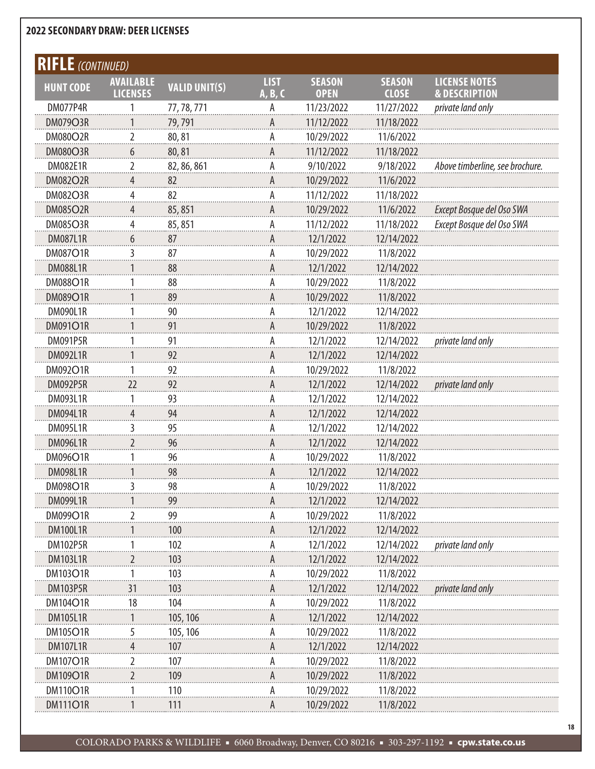| <b>RIFLE</b> (CONTINUED) |                                     |                      |                        |                              |                               |                                                  |
|--------------------------|-------------------------------------|----------------------|------------------------|------------------------------|-------------------------------|--------------------------------------------------|
| <b>HUNT CODE</b>         | <b>AVAILABLE</b><br><b>LICENSES</b> | <b>VALID UNIT(S)</b> | <b>LIST</b><br>A, B, C | <b>SEASON</b><br><b>OPEN</b> | <b>SEASON</b><br><b>CLOSE</b> | <b>LICENSE NOTES</b><br><b>&amp; DESCRIPTION</b> |
| DM077P4R                 |                                     | 77, 78, 771          | А                      | 11/23/2022                   | 11/27/2022                    | private land only                                |
| <b>DM079O3R</b>          |                                     | 79,791               | А                      | 11/12/2022                   | 11/18/2022                    |                                                  |
| <b>DM080O2R</b>          | $\overline{2}$                      | 80,81                | A                      | 10/29/2022                   | 11/6/2022                     |                                                  |
| <b>DM080O3R</b>          | 6                                   | 80,81                | А                      | 11/12/2022                   | 11/18/2022                    |                                                  |
| <b>DM082E1R</b>          | $\overline{2}$                      | 82, 86, 861          | A                      | 9/10/2022                    | 9/18/2022                     | Above timberline, see brochure.                  |
| <b>DM082O2R</b>          | 4                                   | 82                   | А                      | 10/29/2022                   | 11/6/2022                     |                                                  |
| <b>DM082O3R</b>          | 4                                   | 82                   | A                      | 11/12/2022                   | 11/18/2022                    |                                                  |
| <b>DM085O2R</b>          | 4                                   | 85,851               | А                      | 10/29/2022                   | 11/6/2022                     | Except Bosque del Oso SWA                        |
| <b>DM085O3R</b>          | 4                                   | 85,851               | A                      | 11/12/2022                   | 11/18/2022                    | Except Bosque del Oso SWA                        |
| <b>DM087L1R</b>          | 6                                   | 87                   | А                      | 12/1/2022                    | 12/14/2022                    |                                                  |
| <b>DM087O1R</b>          | 3                                   | 87                   | A                      | 10/29/2022                   | 11/8/2022                     |                                                  |
| <b>DM088L1R</b>          |                                     | 88                   | A                      | 12/1/2022                    | 12/14/2022                    |                                                  |
| <b>DM088O1R</b>          |                                     | 88                   | A                      | 10/29/2022                   | 11/8/2022                     |                                                  |
| <b>DM089O1R</b>          |                                     | 89                   | A                      | 10/29/2022                   | 11/8/2022                     |                                                  |
| <b>DM090L1R</b>          |                                     | 90                   | A                      | 12/1/2022                    | 12/14/2022                    |                                                  |
| <b>DM091O1R</b>          |                                     | 91                   | A                      | 10/29/2022                   | 11/8/2022                     |                                                  |
| <b>DM091P5R</b>          |                                     | 91                   | A                      | 12/1/2022                    | 12/14/2022                    | private land only                                |
| <b>DM092L1R</b>          |                                     | 92                   | A                      | 12/1/2022                    | 12/14/2022                    |                                                  |
| <b>DM092O1R</b>          |                                     | 92                   | A                      | 10/29/2022                   | 11/8/2022                     |                                                  |
| <b>DM092P5R</b>          | 22                                  | 92                   | A                      | 12/1/2022                    | 12/14/2022                    | private land only                                |
| <b>DM093L1R</b>          |                                     | 93                   | A                      | 12/1/2022                    | 12/14/2022                    |                                                  |
| <b>DM094L1R</b>          | 4                                   | 94                   | A                      | 12/1/2022                    | 12/14/2022                    |                                                  |
| <b>DM095L1R</b>          | 3                                   | 95                   | A                      | 12/1/2022                    | 12/14/2022                    |                                                  |
| <b>DM096L1R</b>          | 2                                   | 96                   | A                      | 12/1/2022                    | 12/14/2022                    |                                                  |
| DM096O1R                 |                                     | 96                   | A                      | 10/29/2022                   | 11/8/2022                     |                                                  |
| <b>DM098L1R</b>          |                                     | 98                   | Α                      | 12/1/2022                    | 12/14/2022                    |                                                  |
| DM098O1R                 |                                     | 98                   | A                      | 10/29/2022                   | 11/8/2022                     |                                                  |
| <b>DM099L1R</b>          |                                     | 99                   |                        | 12/1/2022                    | 12/14/2022                    |                                                  |
| DM099O1R                 | 2                                   | 99                   | А                      | 10/29/2022                   | 11/8/2022                     |                                                  |
| <b>DM100L1R</b>          |                                     | 100                  |                        | 12/1/2022                    | 12/14/2022                    |                                                  |
| <b>DM102P5R</b>          |                                     | 102                  | А                      | 12/1/2022                    | 12/14/2022                    | private land only                                |
| <b>DM103L1R</b>          | 2                                   | 103                  | А                      | 12/1/2022                    | 12/14/2022                    |                                                  |
| <b>DM103O1R</b>          |                                     | 103                  | Α                      | 10/29/2022                   | 11/8/2022                     |                                                  |
| <b>DM103P5R</b>          | 31                                  | 103                  |                        | 12/1/2022                    | 12/14/2022                    | private land only                                |
| <b>DM104O1R</b>          | 18                                  | 104                  | А                      | 10/29/2022                   | 11/8/2022                     |                                                  |
| <b>DM105L1R</b>          |                                     | 105, 106             | А                      | 12/1/2022                    | 12/14/2022                    |                                                  |
| <b>DM105O1R</b>          | 5                                   | 105, 106             | Α                      | 10/29/2022                   | 11/8/2022                     |                                                  |
| <b>DM107L1R</b>          |                                     | 107                  | А                      | 12/1/2022                    | 12/14/2022                    |                                                  |
| <b>DM107O1R</b>          | 2                                   | 107                  | Α                      | 10/29/2022                   | 11/8/2022                     |                                                  |
| <b>DM109O1R</b>          | 2                                   | 109                  | А                      | 10/29/2022                   | 11/8/2022                     |                                                  |
| <b>DM110O1R</b>          |                                     | 110                  | Α                      | 10/29/2022                   | 11/8/2022                     |                                                  |
| <b>DM111O1R</b>          |                                     | 111                  | А                      | 10/29/2022                   | 11/8/2022                     |                                                  |